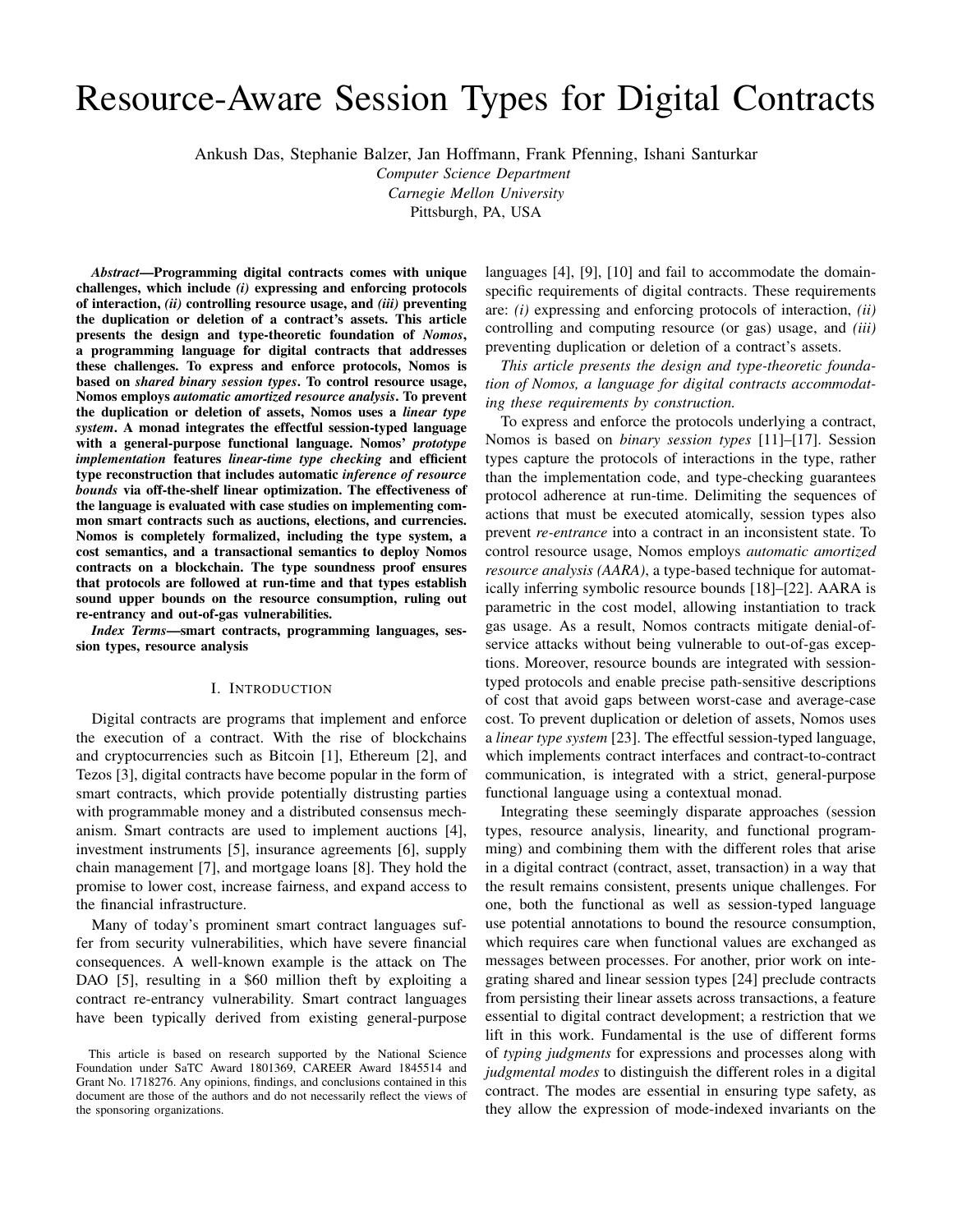# Resource-Aware Session Types for Digital Contracts

Ankush Das, Stephanie Balzer, Jan Hoffmann, Frank Pfenning, Ishani Santurkar

*Computer Science Department Carnegie Mellon University*

Pittsburgh, PA, USA

*Abstract*—Programming digital contracts comes with unique challenges, which include *(i)* expressing and enforcing protocols of interaction, *(ii)* controlling resource usage, and *(iii)* preventing the duplication or deletion of a contract's assets. This article presents the design and type-theoretic foundation of *Nomos*, a programming language for digital contracts that addresses these challenges. To express and enforce protocols, Nomos is based on *shared binary session types*. To control resource usage, Nomos employs *automatic amortized resource analysis*. To prevent the duplication or deletion of assets, Nomos uses a *linear type system*. A monad integrates the effectful session-typed language with a general-purpose functional language. Nomos' *prototype implementation* features *linear-time type checking* and efficient type reconstruction that includes automatic *inference of resource bounds* via off-the-shelf linear optimization. The effectiveness of the language is evaluated with case studies on implementing common smart contracts such as auctions, elections, and currencies. Nomos is completely formalized, including the type system, a cost semantics, and a transactional semantics to deploy Nomos contracts on a blockchain. The type soundness proof ensures that protocols are followed at run-time and that types establish sound upper bounds on the resource consumption, ruling out re-entrancy and out-of-gas vulnerabilities.

*Index Terms*—smart contracts, programming languages, session types, resource analysis

#### I. INTRODUCTION

Digital contracts are programs that implement and enforce the execution of a contract. With the rise of blockchains and cryptocurrencies such as Bitcoin [1], Ethereum [2], and Tezos [3], digital contracts have become popular in the form of smart contracts, which provide potentially distrusting parties with programmable money and a distributed consensus mechanism. Smart contracts are used to implement auctions [4], investment instruments [5], insurance agreements [6], supply chain management [7], and mortgage loans [8]. They hold the promise to lower cost, increase fairness, and expand access to the financial infrastructure.

Many of today's prominent smart contract languages suffer from security vulnerabilities, which have severe financial consequences. A well-known example is the attack on The DAO [5], resulting in a \$60 million theft by exploiting a contract re-entrancy vulnerability. Smart contract languages have been typically derived from existing general-purpose languages [4], [9], [10] and fail to accommodate the domainspecific requirements of digital contracts. These requirements are: *(i)* expressing and enforcing protocols of interaction, *(ii)* controlling and computing resource (or gas) usage, and *(iii)* preventing duplication or deletion of a contract's assets.

*This article presents the design and type-theoretic foundation of Nomos, a language for digital contracts accommodating these requirements by construction.*

To express and enforce the protocols underlying a contract, Nomos is based on *binary session types* [11]–[17]. Session types capture the protocols of interactions in the type, rather than the implementation code, and type-checking guarantees protocol adherence at run-time. Delimiting the sequences of actions that must be executed atomically, session types also prevent *re-entrance* into a contract in an inconsistent state. To control resource usage, Nomos employs *automatic amortized resource analysis (AARA)*, a type-based technique for automatically inferring symbolic resource bounds [18]–[22]. AARA is parametric in the cost model, allowing instantiation to track gas usage. As a result, Nomos contracts mitigate denial-ofservice attacks without being vulnerable to out-of-gas exceptions. Moreover, resource bounds are integrated with sessiontyped protocols and enable precise path-sensitive descriptions of cost that avoid gaps between worst-case and average-case cost. To prevent duplication or deletion of assets, Nomos uses a *linear type system* [23]. The effectful session-typed language, which implements contract interfaces and contract-to-contract communication, is integrated with a strict, general-purpose functional language using a contextual monad.

Integrating these seemingly disparate approaches (session types, resource analysis, linearity, and functional programming) and combining them with the different roles that arise in a digital contract (contract, asset, transaction) in a way that the result remains consistent, presents unique challenges. For one, both the functional as well as session-typed language use potential annotations to bound the resource consumption, which requires care when functional values are exchanged as messages between processes. For another, prior work on integrating shared and linear session types [24] preclude contracts from persisting their linear assets across transactions, a feature essential to digital contract development; a restriction that we lift in this work. Fundamental is the use of different forms of *typing judgments* for expressions and processes along with *judgmental modes* to distinguish the different roles in a digital contract. The modes are essential in ensuring type safety, as they allow the expression of mode-indexed invariants on the

This article is based on research supported by the National Science Foundation under SaTC Award 1801369, CAREER Award 1845514 and Grant No. 1718276. Any opinions, findings, and conclusions contained in this document are those of the authors and do not necessarily reflect the views of the sponsoring organizations.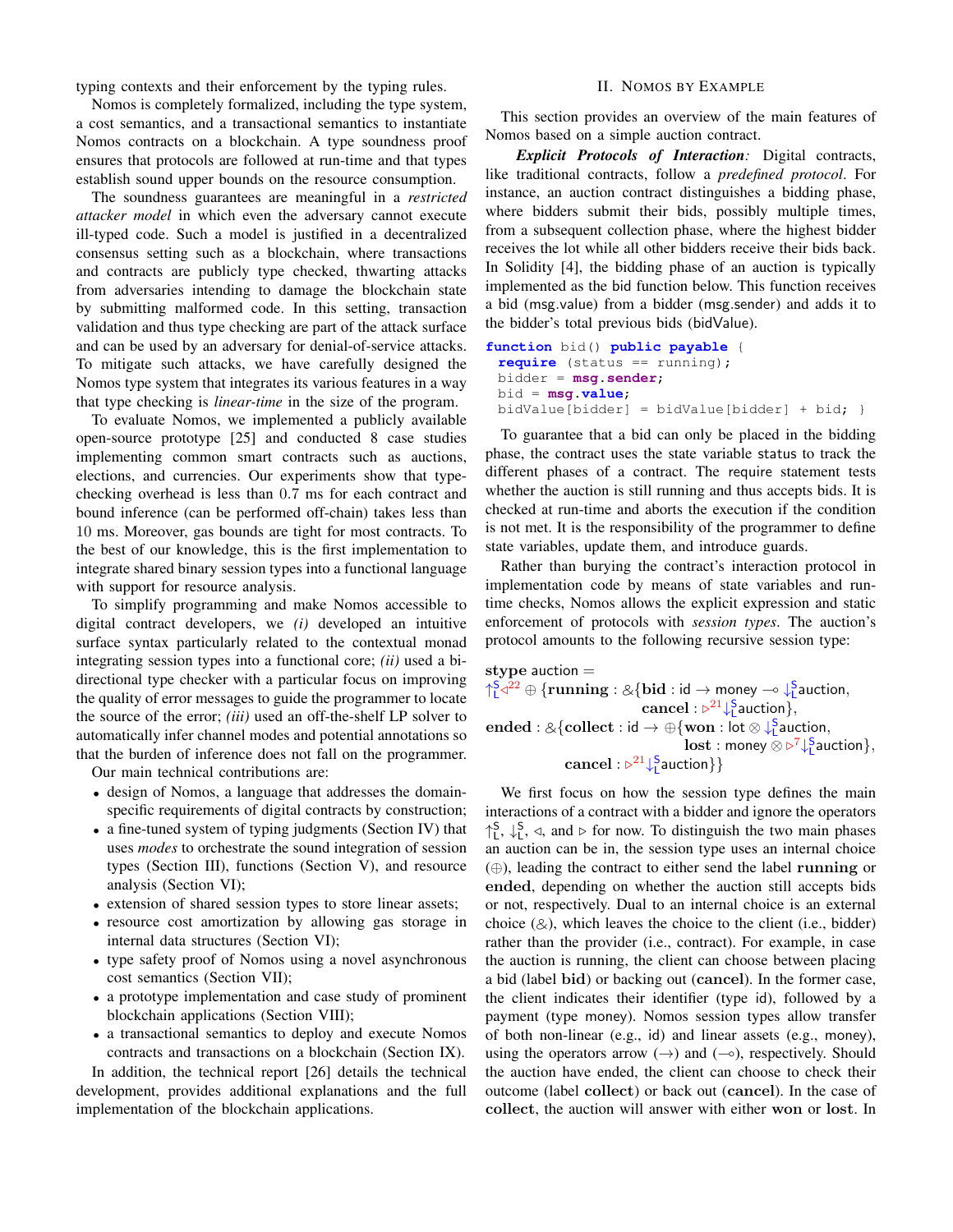typing contexts and their enforcement by the typing rules.

Nomos is completely formalized, including the type system, a cost semantics, and a transactional semantics to instantiate Nomos contracts on a blockchain. A type soundness proof ensures that protocols are followed at run-time and that types establish sound upper bounds on the resource consumption.

The soundness guarantees are meaningful in a *restricted attacker model* in which even the adversary cannot execute ill-typed code. Such a model is justified in a decentralized consensus setting such as a blockchain, where transactions and contracts are publicly type checked, thwarting attacks from adversaries intending to damage the blockchain state by submitting malformed code. In this setting, transaction validation and thus type checking are part of the attack surface and can be used by an adversary for denial-of-service attacks. To mitigate such attacks, we have carefully designed the Nomos type system that integrates its various features in a way that type checking is *linear-time* in the size of the program.

To evaluate Nomos, we implemented a publicly available open-source prototype [25] and conducted 8 case studies implementing common smart contracts such as auctions, elections, and currencies. Our experiments show that typechecking overhead is less than 0.7 ms for each contract and bound inference (can be performed off-chain) takes less than 10 ms. Moreover, gas bounds are tight for most contracts. To the best of our knowledge, this is the first implementation to integrate shared binary session types into a functional language with support for resource analysis.

To simplify programming and make Nomos accessible to digital contract developers, we *(i)* developed an intuitive surface syntax particularly related to the contextual monad integrating session types into a functional core; *(ii)* used a bidirectional type checker with a particular focus on improving the quality of error messages to guide the programmer to locate the source of the error; *(iii)* used an off-the-shelf LP solver to automatically infer channel modes and potential annotations so that the burden of inference does not fall on the programmer.

Our main technical contributions are:

- design of Nomos, a language that addresses the domainspecific requirements of digital contracts by construction;
- a fine-tuned system of typing judgments (Section IV) that uses *modes* to orchestrate the sound integration of session types (Section III), functions (Section V), and resource analysis (Section VI);
- extension of shared session types to store linear assets;
- resource cost amortization by allowing gas storage in internal data structures (Section VI);
- type safety proof of Nomos using a novel asynchronous cost semantics (Section VII);
- a prototype implementation and case study of prominent blockchain applications (Section VIII);
- a transactional semantics to deploy and execute Nomos contracts and transactions on a blockchain (Section IX).

In addition, the technical report [26] details the technical development, provides additional explanations and the full implementation of the blockchain applications.

## II. NOMOS BY EXAMPLE

This section provides an overview of the main features of Nomos based on a simple auction contract.

*Explicit Protocols of Interaction:* Digital contracts, like traditional contracts, follow a *predefined protocol*. For instance, an auction contract distinguishes a bidding phase, where bidders submit their bids, possibly multiple times, from a subsequent collection phase, where the highest bidder receives the lot while all other bidders receive their bids back. In Solidity [4], the bidding phase of an auction is typically implemented as the bid function below. This function receives a bid (msg.value) from a bidder (msg.sender) and adds it to the bidder's total previous bids (bidValue).

```
function bid() public payable {
 require (status == running);
 bidder = msg.sender;
 bid = msg.value;
 bidValue[bidder] = bidValue[bidder] + bid; }
```
To guarantee that a bid can only be placed in the bidding phase, the contract uses the state variable status to track the different phases of a contract. The require statement tests whether the auction is still running and thus accepts bids. It is checked at run-time and aborts the execution if the condition is not met. It is the responsibility of the programmer to define state variables, update them, and introduce guards.

Rather than burying the contract's interaction protocol in implementation code by means of state variables and runtime checks, Nomos allows the explicit expression and static enforcement of protocols with *session types*. The auction's protocol amounts to the following recursive session type:

stype auction  $=$  $\uparrow_L^{\leq q^{22}} \oplus {\text{running}}: \& {\text{ (bid : id \rightarrow money \rightarrow } \downarrow_L^{\leq} \text{ auction}, \text{ (anreal : } \downarrow^{\geq L \text{ (S, question)}})}$ cancel :  $\triangleright^{21} \downarrow^S$  auction }, ended : & {collect : id  $\rightarrow \bigoplus$  {won : lot  $\otimes \bigcup_{\alpha=1}^{5}$  auction,  $\textbf{lost}: \textsf{money} \otimes \triangleright^7 \downarrow^{\mathsf{S}}_{\mathsf{L}} \textsf{auction} \},$  $\mathrm{cancel}: \triangleright^{21} \downarrow^{\mathsf{S}}_{\mathsf{L}}$ auction $\} \}$ 

We first focus on how the session type defines the main interactions of a contract with a bidder and ignore the operators  $\uparrow_L^S$ ,  $\downarrow_L^S$ ,  $\triangleleft$ , and  $\triangleright$  for now. To distinguish the two main phases an auction can be in, the session type uses an internal choice (⊕), leading the contract to either send the label running or ended, depending on whether the auction still accepts bids or not, respectively. Dual to an internal choice is an external choice  $(\&)$ , which leaves the choice to the client (i.e., bidder) rather than the provider (i.e., contract). For example, in case the auction is running, the client can choose between placing a bid (label bid) or backing out (cancel). In the former case, the client indicates their identifier (type id), followed by a payment (type money). Nomos session types allow transfer of both non-linear (e.g., id) and linear assets (e.g., money), using the operators arrow  $(\rightarrow)$  and  $(\rightarrow)$ , respectively. Should the auction have ended, the client can choose to check their outcome (label collect) or back out (cancel). In the case of collect, the auction will answer with either won or lost. In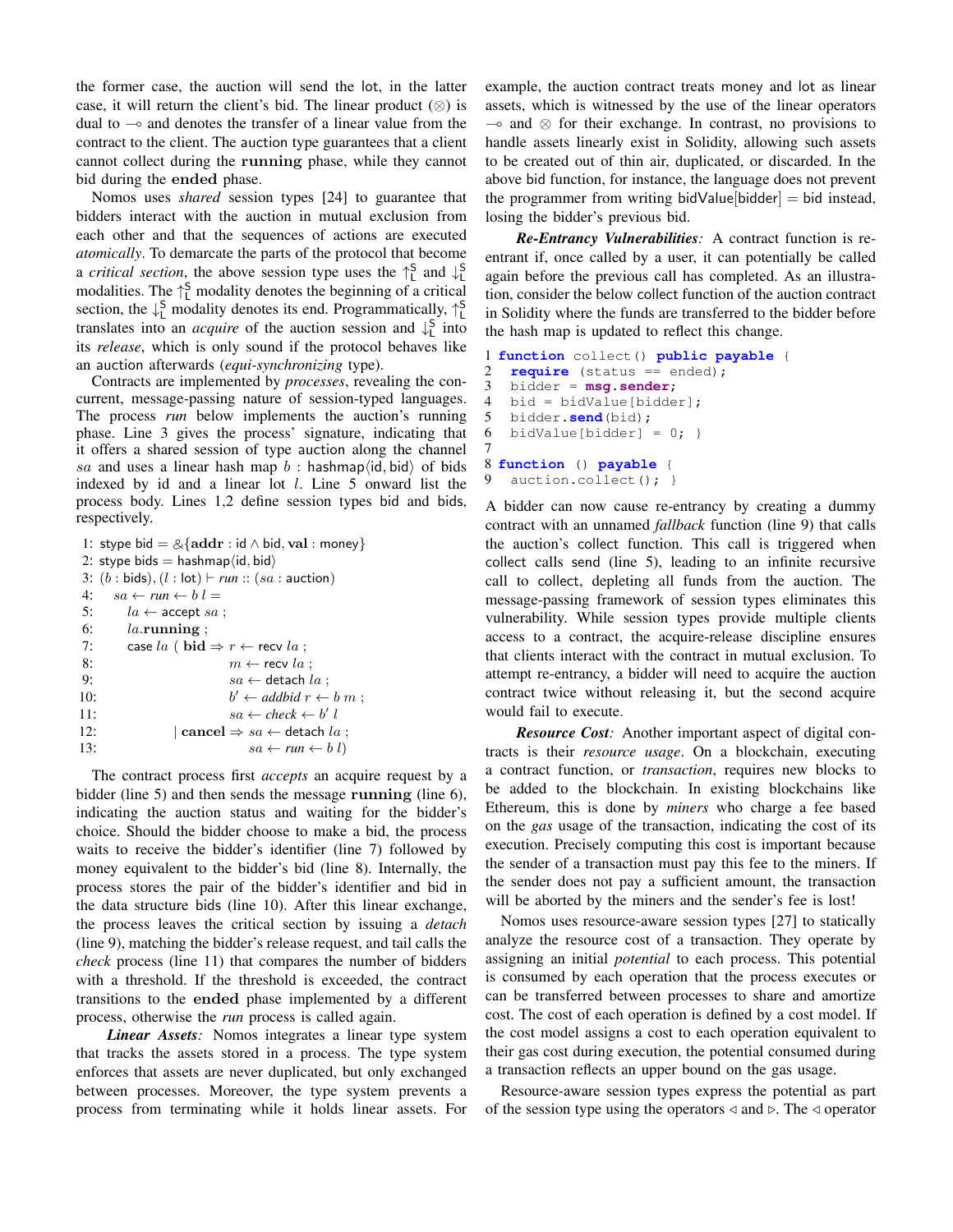the former case, the auction will send the lot, in the latter case, it will return the client's bid. The linear product  $(\otimes)$  is dual to  $\sim$  and denotes the transfer of a linear value from the contract to the client. The auction type guarantees that a client cannot collect during the running phase, while they cannot bid during the ended phase.

Nomos uses *shared* session types [24] to guarantee that bidders interact with the auction in mutual exclusion from each other and that the sequences of actions are executed *atomically*. To demarcate the parts of the protocol that become a *critical section*, the above session type uses the  $\uparrow_L^S$  and  $\downarrow_L^S$ modalities. The  $\uparrow_L^S$  modality denotes the beginning of a critical section, the  $\downarrow^S$  modality denotes its end. Programmatically,  $\uparrow^S_L$ translates into an *acquire* of the auction session and  $\downarrow^S$  into its *release*, which is only sound if the protocol behaves like an auction afterwards (*equi-synchronizing* type).

Contracts are implemented by *processes*, revealing the concurrent, message-passing nature of session-typed languages. The process *run* below implements the auction's running phase. Line 3 gives the process' signature, indicating that it offers a shared session of type auction along the channel sa and uses a linear hash map b: hashmap $\langle id, bid \rangle$  of bids indexed by id and a linear lot l. Line 5 onward list the process body. Lines 1,2 define session types bid and bids, respectively.

|     | 1: stype bid = $&$ {addr : id $\wedge$ bid, val : money}   |  |  |  |
|-----|------------------------------------------------------------|--|--|--|
|     | 2: stype bids $=$ hashmap $\langle$ id, bid $\rangle$      |  |  |  |
|     | 3: $(b : bids)$ , $(l : lot) \vdash run :: (sa : auction)$ |  |  |  |
| 4:  | $sa \leftarrow run \leftarrow b \; l =$                    |  |  |  |
|     | 5:<br>$la \leftarrow$ accept sa;                           |  |  |  |
|     | 6:<br>$la.\mathbf{running}$                                |  |  |  |
| 7:  | case la ( bid $\Rightarrow$ $r \leftarrow$ recv la;        |  |  |  |
| 8:  | $m \leftarrow$ recv la :                                   |  |  |  |
| 9:  | $sa \leftarrow$ detach la :                                |  |  |  |
| 10: | $b' \leftarrow addbid \ r \leftarrow b \ m$ ;              |  |  |  |
| 11: | $sa \leftarrow check \leftarrow b'$                        |  |  |  |
| 12: | $\vert$ cancel $\Rightarrow$ $sa \leftarrow$ detach $la$ ; |  |  |  |
| 13: | $sa \leftarrow run \leftarrow b \; l$                      |  |  |  |

The contract process first *accepts* an acquire request by a bidder (line 5) and then sends the message running (line 6), indicating the auction status and waiting for the bidder's choice. Should the bidder choose to make a bid, the process waits to receive the bidder's identifier (line 7) followed by money equivalent to the bidder's bid (line 8). Internally, the process stores the pair of the bidder's identifier and bid in the data structure bids (line 10). After this linear exchange, the process leaves the critical section by issuing a *detach* (line 9), matching the bidder's release request, and tail calls the *check* process (line 11) that compares the number of bidders with a threshold. If the threshold is exceeded, the contract transitions to the ended phase implemented by a different process, otherwise the *run* process is called again.

*Linear Assets:* Nomos integrates a linear type system that tracks the assets stored in a process. The type system enforces that assets are never duplicated, but only exchanged between processes. Moreover, the type system prevents a process from terminating while it holds linear assets. For example, the auction contract treats money and lot as linear assets, which is witnessed by the use of the linear operators  $\rightarrow$  and ⊗ for their exchange. In contrast, no provisions to handle assets linearly exist in Solidity, allowing such assets to be created out of thin air, duplicated, or discarded. In the above bid function, for instance, the language does not prevent the programmer from writing bidValue[bidder] = bid instead, losing the bidder's previous bid.

*Re-Entrancy Vulnerabilities:* A contract function is reentrant if, once called by a user, it can potentially be called again before the previous call has completed. As an illustration, consider the below collect function of the auction contract in Solidity where the funds are transferred to the bidder before the hash map is updated to reflect this change.

```
1 function collect() public payable {
2 require (status == ended);<br>3 bidder = msq.sender;
   3 bidder = msg.sender;
4 bid = bidValue[bidder];
5 bidder.send(bid);
6 bidValue[bidder] = 0; }
7
8 function () payable {
9 auction.collect(); }
```
A bidder can now cause re-entrancy by creating a dummy contract with an unnamed *fallback* function (line 9) that calls the auction's collect function. This call is triggered when collect calls send (line 5), leading to an infinite recursive call to collect, depleting all funds from the auction. The message-passing framework of session types eliminates this vulnerability. While session types provide multiple clients access to a contract, the acquire-release discipline ensures that clients interact with the contract in mutual exclusion. To attempt re-entrancy, a bidder will need to acquire the auction contract twice without releasing it, but the second acquire would fail to execute.

*Resource Cost:* Another important aspect of digital contracts is their *resource usage*. On a blockchain, executing a contract function, or *transaction*, requires new blocks to be added to the blockchain. In existing blockchains like Ethereum, this is done by *miners* who charge a fee based on the *gas* usage of the transaction, indicating the cost of its execution. Precisely computing this cost is important because the sender of a transaction must pay this fee to the miners. If the sender does not pay a sufficient amount, the transaction will be aborted by the miners and the sender's fee is lost!

Nomos uses resource-aware session types [27] to statically analyze the resource cost of a transaction. They operate by assigning an initial *potential* to each process. This potential is consumed by each operation that the process executes or can be transferred between processes to share and amortize cost. The cost of each operation is defined by a cost model. If the cost model assigns a cost to each operation equivalent to their gas cost during execution, the potential consumed during a transaction reflects an upper bound on the gas usage.

Resource-aware session types express the potential as part of the session type using the operators  $\triangleleft$  and  $\triangleright$ . The  $\triangleleft$  operator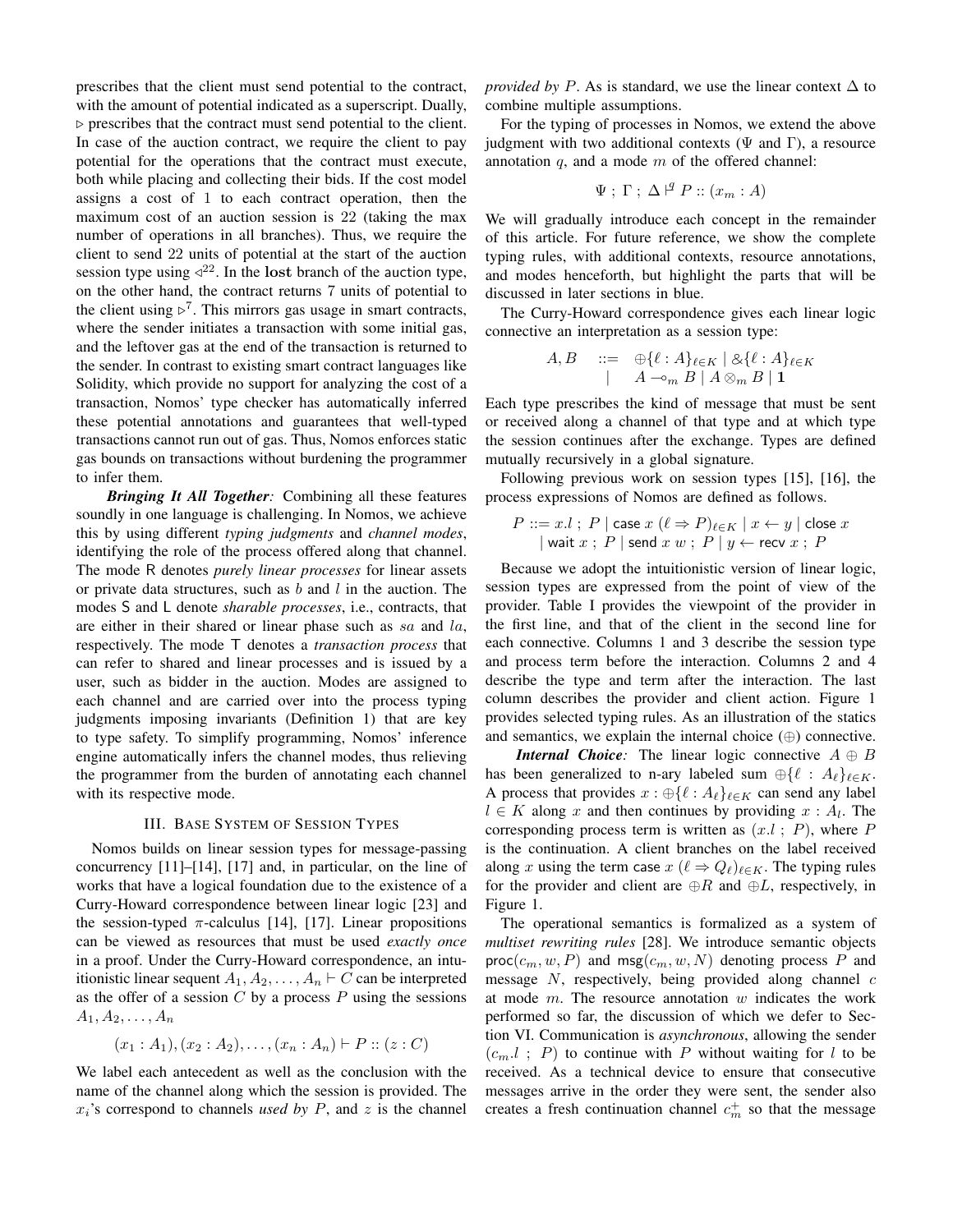prescribes that the client must send potential to the contract, with the amount of potential indicated as a superscript. Dually,  $\triangleright$  prescribes that the contract must send potential to the client. In case of the auction contract, we require the client to pay potential for the operations that the contract must execute, both while placing and collecting their bids. If the cost model assigns a cost of 1 to each contract operation, then the maximum cost of an auction session is 22 (taking the max number of operations in all branches). Thus, we require the client to send 22 units of potential at the start of the auction session type using  $\triangle^{22}$ . In the lost branch of the auction type, on the other hand, the contract returns 7 units of potential to the client using  $\triangleright^7$ . This mirrors gas usage in smart contracts, where the sender initiates a transaction with some initial gas, and the leftover gas at the end of the transaction is returned to the sender. In contrast to existing smart contract languages like Solidity, which provide no support for analyzing the cost of a transaction, Nomos' type checker has automatically inferred these potential annotations and guarantees that well-typed transactions cannot run out of gas. Thus, Nomos enforces static gas bounds on transactions without burdening the programmer to infer them.

*Bringing It All Together:* Combining all these features soundly in one language is challenging. In Nomos, we achieve this by using different *typing judgments* and *channel modes*, identifying the role of the process offered along that channel. The mode R denotes *purely linear processes* for linear assets or private data structures, such as  $b$  and  $l$  in the auction. The modes S and L denote *sharable processes*, i.e., contracts, that are either in their shared or linear phase such as sa and la, respectively. The mode T denotes a *transaction process* that can refer to shared and linear processes and is issued by a user, such as bidder in the auction. Modes are assigned to each channel and are carried over into the process typing judgments imposing invariants (Definition 1) that are key to type safety. To simplify programming, Nomos' inference engine automatically infers the channel modes, thus relieving the programmer from the burden of annotating each channel with its respective mode.

#### III. BASE SYSTEM OF SESSION TYPES

Nomos builds on linear session types for message-passing concurrency [11]–[14], [17] and, in particular, on the line of works that have a logical foundation due to the existence of a Curry-Howard correspondence between linear logic [23] and the session-typed  $\pi$ -calculus [14], [17]. Linear propositions can be viewed as resources that must be used *exactly once* in a proof. Under the Curry-Howard correspondence, an intuitionistic linear sequent  $A_1, A_2, \ldots, A_n \vdash C$  can be interpreted as the offer of a session  $C$  by a process  $P$  using the sessions  $A_1, A_2, \ldots, A_n$ 

$$
(x_1 : A_1), (x_2 : A_2), \ldots, (x_n : A_n) \vdash P :: (z : C)
$$

We label each antecedent as well as the conclusion with the name of the channel along which the session is provided. The  $x_i$ 's correspond to channels *used by*  $P$ , and  $z$  is the channel *provided by* P. As is standard, we use the linear context  $\Delta$  to combine multiple assumptions.

For the typing of processes in Nomos, we extend the above judgment with two additional contexts ( $\Psi$  and Γ), a resource annotation  $q$ , and a mode  $m$  of the offered channel:

$$
\Psi ; \Gamma ; \Delta \nvdash^q P :: (x_m : A)
$$

We will gradually introduce each concept in the remainder of this article. For future reference, we show the complete typing rules, with additional contexts, resource annotations, and modes henceforth, but highlight the parts that will be discussed in later sections in blue.

The Curry-Howard correspondence gives each linear logic connective an interpretation as a session type:

$$
A, B \quad ::= \quad \oplus \{ \ell : A \}_{\ell \in K} \mid \mathcal{L} \{ \ell : A \}_{\ell \in K}
$$
\n
$$
\mid \quad A \rightarrow_m B \mid A \otimes_m B \mid \mathbf{1}
$$

Each type prescribes the kind of message that must be sent or received along a channel of that type and at which type the session continues after the exchange. Types are defined mutually recursively in a global signature.

Following previous work on session types [15], [16], the process expressions of Nomos are defined as follows.

$$
P ::= x.l ; P | \text{ case } x (\ell \Rightarrow P)_{\ell \in K} | x \leftarrow y | \text{ close } x
$$
  
| wait  $x ; P | \text{ send } x w ; P | y \leftarrow \text{recv } x ; P$ 

Because we adopt the intuitionistic version of linear logic, session types are expressed from the point of view of the provider. Table I provides the viewpoint of the provider in the first line, and that of the client in the second line for each connective. Columns 1 and 3 describe the session type and process term before the interaction. Columns 2 and 4 describe the type and term after the interaction. The last column describes the provider and client action. Figure 1 provides selected typing rules. As an illustration of the statics and semantics, we explain the internal choice (⊕) connective.

*Internal Choice:* The linear logic connective  $A \oplus B$ has been generalized to n-ary labeled sum  $\bigoplus \{ \ell : A_{\ell} \}_{\ell \in K}$ . A process that provides  $x : \bigoplus \{ \ell : A_{\ell} \}_{\ell \in K}$  can send any label  $l \in K$  along x and then continues by providing  $x : A_l$ . The corresponding process term is written as  $(x, l; P)$ , where P is the continuation. A client branches on the label received along x using the term case  $x$  ( $\ell \Rightarrow Q_{\ell}\e_{\in K}$ . The typing rules for the provider and client are  $\oplus R$  and  $\oplus L$ , respectively, in Figure 1.

The operational semantics is formalized as a system of *multiset rewriting rules* [28]. We introduce semantic objects  $proc(c_m, w, P)$  and  $msg(c_m, w, N)$  denoting process P and message  $N$ , respectively, being provided along channel  $c$ at mode  $m$ . The resource annotation  $w$  indicates the work performed so far, the discussion of which we defer to Section VI. Communication is *asynchronous*, allowing the sender  $(c_m, l, P)$  to continue with P without waiting for l to be received. As a technical device to ensure that consecutive messages arrive in the order they were sent, the sender also creates a fresh continuation channel  $c_m^+$  so that the message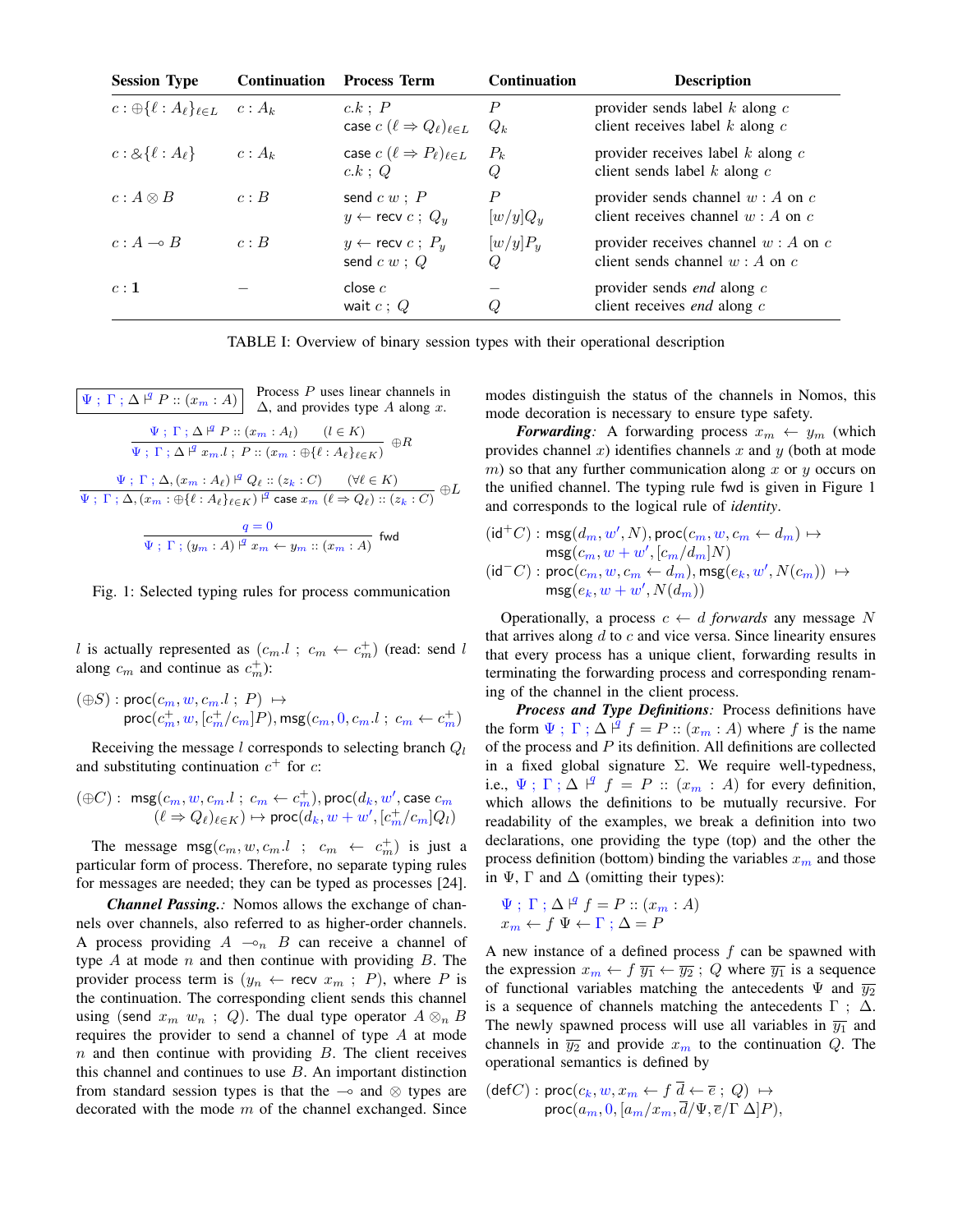| <b>Session Type</b>                          | <b>Continuation</b> | <b>Process Term</b>                                              | <b>Continuation</b>       | <b>Description</b>                                                            |
|----------------------------------------------|---------------------|------------------------------------------------------------------|---------------------------|-------------------------------------------------------------------------------|
| $c: \oplus \{\ell : A_{\ell}\}_{\ell \in L}$ | $c: A_k$            | c.k : P<br>case $c$ $(\ell \Rightarrow Q_{\ell})_{\ell \in L}$   | $\boldsymbol{P}$<br>$Q_k$ | provider sends label $k$ along $c$<br>client receives label $k$ along $c$     |
| $c: \& \{\ell : A_{\ell}\}\$                 | $c: A_k$            | case $c$ $(\ell \Rightarrow P_{\ell})_{\ell \in L}$<br>$c.k$ ; Q | $P_k$<br>Q                | provider receives label $k$ along $c$<br>client sends label $k$ along $c$     |
| $c: A \otimes B$                             | c: B                | send $c w$ ; $P$<br>$y \leftarrow$ recv $c$ ; $Q_y$              | P<br>$[w/y]Q_y$           | provider sends channel $w : A$ on $c$<br>client receives channel $w : A$ on c |
| $c:A\multimap B$                             | c: B                | $y \leftarrow$ recv $c$ ; $P_u$<br>send $c w$ ; $Q$              | $[w/y]P_u$<br>O           | provider receives channel $w : A$ on $c$<br>client sends channel $w : A$ on c |
| c:1                                          |                     | close $c$<br>wait $c:Q$                                          |                           | provider sends <i>end</i> along $c$<br>client receives <i>end</i> along $c$   |

TABLE I: Overview of binary session types with their operational description

 $\Psi$ ;  $\Gamma$ ;  $\Delta$   $\vdash^q P :: (x_m : A)$ Process P uses linear channels in  $\Delta$ , and provides type A along x.  $\Psi$ ;  $\Gamma$ ;  $\Delta$   $\vert^q P :: (x_m : A_l)$   $(l \in K)$  $\overline{\Psi$ ;  $\Gamma$ ;  $\Delta$   $\stackrel{\text{def}}{=} x_m.l$ ;  $P$  ::  $(x_m : \bigoplus {\ell : A_{\ell}}_{\ell \in K})$   $\oplus R$  $\Psi$ ;  $\Gamma$ ;  $\Delta$ ,  $(x_m : A_\ell) \nvert^q Q_\ell :: (z_k : C) \quad (\forall \ell \in K)$  $\frac{V}{\Psi$ ;  $\Gamma$ ;  $\Delta$ ,  $(x_m : \bigoplus \{\ell : A_\ell\}_{\ell \in K}) \stackrel{Q}{\to} \text{case } x_m$   $(\ell \Rightarrow Q_\ell) :: (z_k : C) \oplus L$  $q=0$  $\overline{\Psi \; ; \; \Gamma \; ; \, (y_m : A) \; |^q \; x_m \leftarrow y_m :: (x_m : A)}$  fwd

Fig. 1: Selected typing rules for process communication

l is actually represented as  $(c_m.l ; c_m \leftarrow c_m^+)$  (read: send l along  $c_m$  and continue as  $c_m^+$ ):

 $(\oplus S) : \mathsf{proc}(c_m, w, c_m.l \; ; \; P) \; \mapsto$  $\mathsf{proc}(c_m^+, w, [c_m^+/c_m]P), \mathsf{msg}(c_m, 0, c_m.l~;~c_m \leftarrow c_m^+)$ 

Receiving the message *l* corresponds to selecting branch  $Q_l$ and substituting continuation  $c^+$  for  $c$ :

$$
(\oplus C): \ \mathrm{msg}(c_m,w,c_m.l \ ; \ c_m \leftarrow c_m^+), \mathrm{proc}(d_k,w',\mathrm{case}\ c_m\\ (\ell \Rightarrow Q_\ell)_{\ell \in K}) \mapsto \mathrm{proc}(d_k,w+w', [c_m^+/c_m]Q_l)
$$

The message  $msg(c_m, w, c_m, l; c_m \leftarrow c_m^+)$  is just a particular form of process. Therefore, no separate typing rules for messages are needed; they can be typed as processes [24].

*Channel Passing.:* Nomos allows the exchange of channels over channels, also referred to as higher-order channels. A process providing  $A \sim_n B$  can receive a channel of type  $A$  at mode  $n$  and then continue with providing  $B$ . The provider process term is  $(y_n \leftarrow \text{recv } x_m ; P)$ , where P is the continuation. The corresponding client sends this channel using (send  $x_m$   $w_n$ ; Q). The dual type operator  $A \otimes_n B$ requires the provider to send a channel of type A at mode  $n$  and then continue with providing  $B$ . The client receives this channel and continues to use  $B$ . An important distinction from standard session types is that the  $\sim$  and  $\otimes$  types are decorated with the mode  $m$  of the channel exchanged. Since modes distinguish the status of the channels in Nomos, this mode decoration is necessary to ensure type safety.

*Forwarding*: A forwarding process  $x_m \leftarrow y_m$  (which provides channel x) identifies channels x and y (both at mode m) so that any further communication along x or  $y$  occurs on the unified channel. The typing rule fwd is given in Figure 1 and corresponds to the logical rule of *identity*.

$$
\begin{aligned} (\mathrm{id}^+C):\,\mathrm{msg}(d_m,w',N),\mathrm{proc}(c_m,w,c_m\leftarrow d_m)\mapsto\\ \mathrm{msg}(c_m,w+w',[c_m/d_m]N)\\ (\mathrm{id}^-C):\mathrm{proc}(c_m,w,c_m\leftarrow d_m),\mathrm{msg}(e_k,w',N(c_m))\; \mapsto\\ \mathrm{msg}(e_k,w+w',N(d_m))\end{aligned}
$$

Operationally, a process  $c \leftarrow d$  *forwards* any message N that arrives along  $d$  to  $c$  and vice versa. Since linearity ensures that every process has a unique client, forwarding results in terminating the forwarding process and corresponding renaming of the channel in the client process.

*Process and Type Definitions:* Process definitions have the form  $\Psi$ ;  $\Gamma$ ;  $\Delta \nvert^{\mathcal{G}} f = P$  ::  $(x_m : A)$  where f is the name of the process and  $P$  its definition. All definitions are collected in a fixed global signature  $\Sigma$ . We require well-typedness, i.e.,  $\Psi$ ;  $\Gamma$ ;  $\Delta \upharpoonright^q f = P$  ::  $(x_m : A)$  for every definition, which allows the definitions to be mutually recursive. For readability of the examples, we break a definition into two declarations, one providing the type (top) and the other the process definition (bottom) binding the variables  $x_m$  and those in  $\Psi$ ,  $\Gamma$  and  $\Delta$  (omitting their types):

$$
\Psi \; ; \; \Gamma \; ; \; \Delta \; |^{g} \; f = P :: (x_m : A)
$$

$$
x_m \leftarrow f \; \Psi \leftarrow \Gamma \; ; \; \Delta = P
$$

A new instance of a defined process  $f$  can be spawned with the expression  $x_m \leftarrow f \overline{y_1} \leftarrow \overline{y_2}$ ; Q where  $\overline{y_1}$  is a sequence of functional variables matching the antecedents  $\Psi$  and  $\overline{y_2}$ is a sequence of channels matching the antecedents  $\Gamma$ :  $\Delta$ . The newly spawned process will use all variables in  $\overline{y_1}$  and channels in  $\overline{y_2}$  and provide  $x_m$  to the continuation Q. The operational semantics is defined by

 $(\mathsf{def} C) : \mathsf{proc}(c_k, w, x_m \leftarrow f \; d \leftarrow \overline{e} \; ; \; Q) \; \mapsto$ proc $(a_m, 0, [a_m/x_m, d/\Psi, \overline{e} / \Gamma \; \Delta] P),$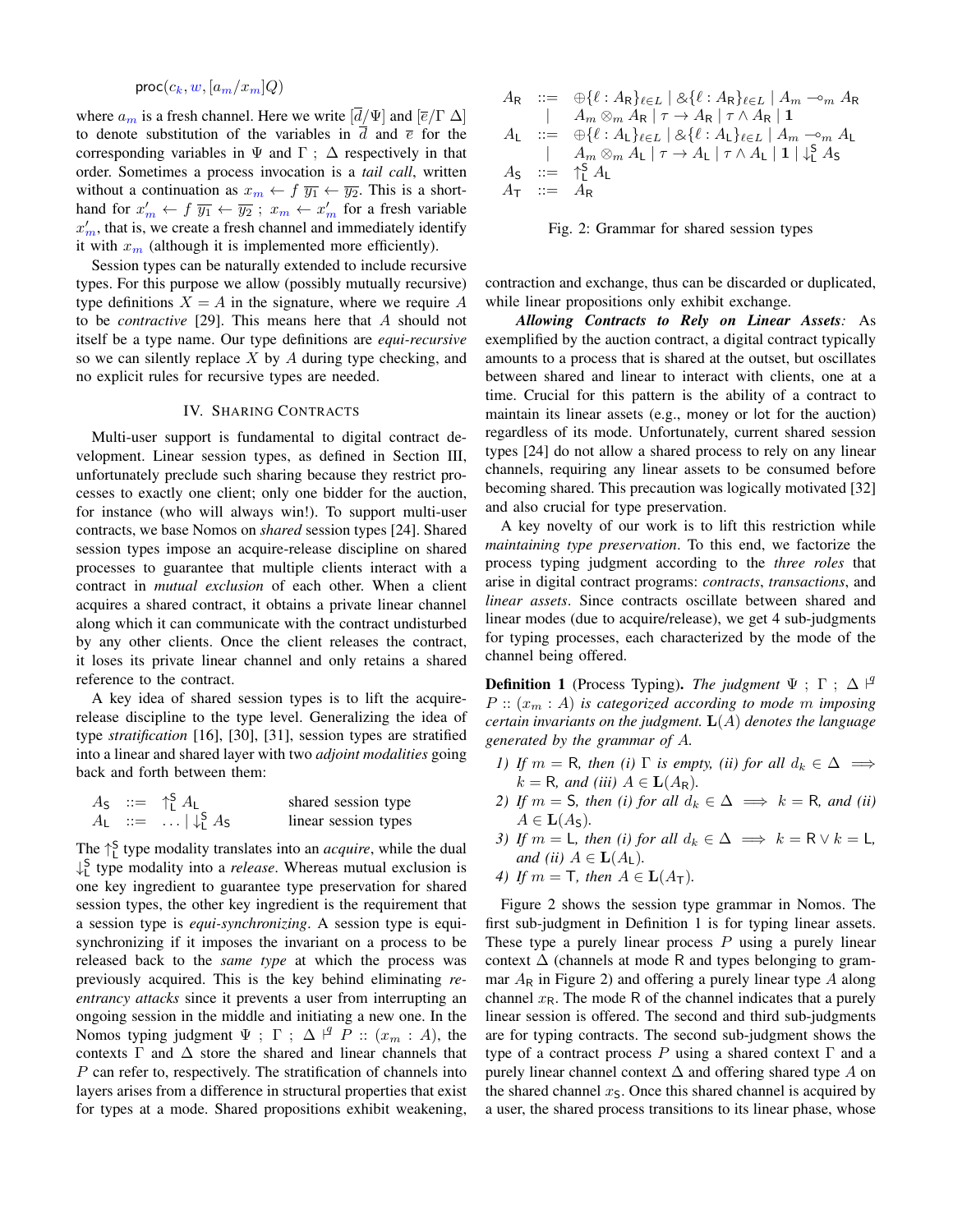$proc(c_k, w, [a_m/x_m]Q)$ 

where  $a_m$  is a fresh channel. Here we write  $[\bar{d}/\Psi]$  and  $[\bar{e}/\Gamma \Delta]$ to denote substitution of the variables in d and  $\bar{e}$  for the corresponding variables in  $\Psi$  and  $\Gamma$ ;  $\Delta$  respectively in that order. Sometimes a process invocation is a *tail call*, written without a continuation as  $x_m \leftarrow f \overline{y_1} \leftarrow \overline{y_2}$ . This is a shorthand for  $x'_m \leftarrow f \overline{y_1} \leftarrow \overline{y_2}$ ;  $x_m \leftarrow x'_m$  for a fresh variable  $x'_m$ , that is, we create a fresh channel and immediately identify it with  $x_m$  (although it is implemented more efficiently).

Session types can be naturally extended to include recursive types. For this purpose we allow (possibly mutually recursive) type definitions  $X = A$  in the signature, where we require A to be *contractive* [29]. This means here that A should not itself be a type name. Our type definitions are *equi-recursive* so we can silently replace  $X$  by  $A$  during type checking, and no explicit rules for recursive types are needed.

# IV. SHARING CONTRACTS

Multi-user support is fundamental to digital contract development. Linear session types, as defined in Section III, unfortunately preclude such sharing because they restrict processes to exactly one client; only one bidder for the auction, for instance (who will always win!). To support multi-user contracts, we base Nomos on *shared* session types [24]. Shared session types impose an acquire-release discipline on shared processes to guarantee that multiple clients interact with a contract in *mutual exclusion* of each other. When a client acquires a shared contract, it obtains a private linear channel along which it can communicate with the contract undisturbed by any other clients. Once the client releases the contract, it loses its private linear channel and only retains a shared reference to the contract.

A key idea of shared session types is to lift the acquirerelease discipline to the type level. Generalizing the idea of type *stratification* [16], [30], [31], session types are stratified into a linear and shared layer with two *adjoint modalities* going back and forth between them:

|  | $A_{\mathsf{S}} \; := \; \uparrow_{\mathsf{I}}^{\mathsf{S}} A_{\mathsf{L}}$ | shared session type  |
|--|-----------------------------------------------------------------------------|----------------------|
|  | $A_{L}$ ::=    $\downarrow_{1}^{S} A_{S}$                                   | linear session types |

The  $\uparrow_L^S$  type modality translates into an *acquire*, while the dual ↓ S L type modality into a *release*. Whereas mutual exclusion is one key ingredient to guarantee type preservation for shared session types, the other key ingredient is the requirement that a session type is *equi-synchronizing*. A session type is equisynchronizing if it imposes the invariant on a process to be released back to the *same type* at which the process was previously acquired. This is the key behind eliminating *reentrancy attacks* since it prevents a user from interrupting an ongoing session in the middle and initiating a new one. In the Nomos typing judgment  $\Psi$ ;  $\Gamma$ ;  $\Delta \nvert^g P :: (x_m : A)$ , the contexts  $\Gamma$  and  $\Delta$  store the shared and linear channels that P can refer to, respectively. The stratification of channels into layers arises from a difference in structural properties that exist for types at a mode. Shared propositions exhibit weakening,

$$
A_R :: = \bigoplus_{\ell} {\ell : A_R}_{\ell \in L} \mid \mathcal{A}_{\ell} {\ell : A_R}_{\ell \in L} \mid A_m \neg_m A_R
$$
  
\n
$$
\mid A_m \otimes_m A_R \mid \tau \to A_R \mid \tau \wedge A_R \mid \mathbf{1}
$$
  
\n
$$
A_L :: = \bigoplus_{\ell} {\ell : A_L}_{\ell \in L} \mid \mathcal{A}_{\ell} {\ell : A_L}_{\ell \in L} \mid A_m \neg_m A_L
$$
  
\n
$$
\mid A_m \otimes_m A_L \mid \tau \to A_L \mid \tau \wedge A_L \mid \mathbf{1} \mid \downarrow_L^c A_S
$$
  
\n
$$
A_S :: = \bigoplus_{\ell}^c A_L
$$
  
\n
$$
A_T :: = A_R
$$



contraction and exchange, thus can be discarded or duplicated, while linear propositions only exhibit exchange.

*Allowing Contracts to Rely on Linear Assets:* As exemplified by the auction contract, a digital contract typically amounts to a process that is shared at the outset, but oscillates between shared and linear to interact with clients, one at a time. Crucial for this pattern is the ability of a contract to maintain its linear assets (e.g., money or lot for the auction) regardless of its mode. Unfortunately, current shared session types [24] do not allow a shared process to rely on any linear channels, requiring any linear assets to be consumed before becoming shared. This precaution was logically motivated [32] and also crucial for type preservation.

A key novelty of our work is to lift this restriction while *maintaining type preservation*. To this end, we factorize the process typing judgment according to the *three roles* that arise in digital contract programs: *contracts*, *transactions*, and *linear assets*. Since contracts oscillate between shared and linear modes (due to acquire/release), we get 4 sub-judgments for typing processes, each characterized by the mode of the channel being offered.

**Definition 1** (Process Typing). *The judgment*  $\Psi$  ;  $\Gamma$  ;  $\Delta$   $\vdash^q$  $P$  ::  $(x_m : A)$  *is categorized according to mode* m *imposing certain invariants on the judgment.* L(A) *denotes the language generated by the grammar of* A*.*

- *1) If*  $m = \mathsf{R}$ *, then* (*i*)  $\Gamma$  *is empty, (ii) for all*  $d_k \in \Delta \implies$  $k = \mathsf{R}$ *, and (iii)*  $A \in \mathbf{L}(A_{\mathsf{R}})$ *.*
- *2) If*  $m = S$ *, then (i) for all*  $d_k \in \Delta \implies k = R$ *, and (ii)*  $A \in L(A_{\mathsf{S}})$ .
- *3) If*  $m = L$ *, then (i) for all*  $d_k \in \Delta \implies k = R \vee k = L$ *, and (ii)*  $A \in L(A_L)$ *.*
- *4) If*  $m = T$ *, then*  $A \in L(A_T)$ *.*

Figure 2 shows the session type grammar in Nomos. The first sub-judgment in Definition 1 is for typing linear assets. These type a purely linear process  $P$  using a purely linear context  $\Delta$  (channels at mode R and types belonging to grammar  $A_R$  in Figure 2) and offering a purely linear type A along channel  $x_R$ . The mode R of the channel indicates that a purely linear session is offered. The second and third sub-judgments are for typing contracts. The second sub-judgment shows the type of a contract process P using a shared context  $\Gamma$  and a purely linear channel context  $\Delta$  and offering shared type A on the shared channel  $x<sub>S</sub>$ . Once this shared channel is acquired by a user, the shared process transitions to its linear phase, whose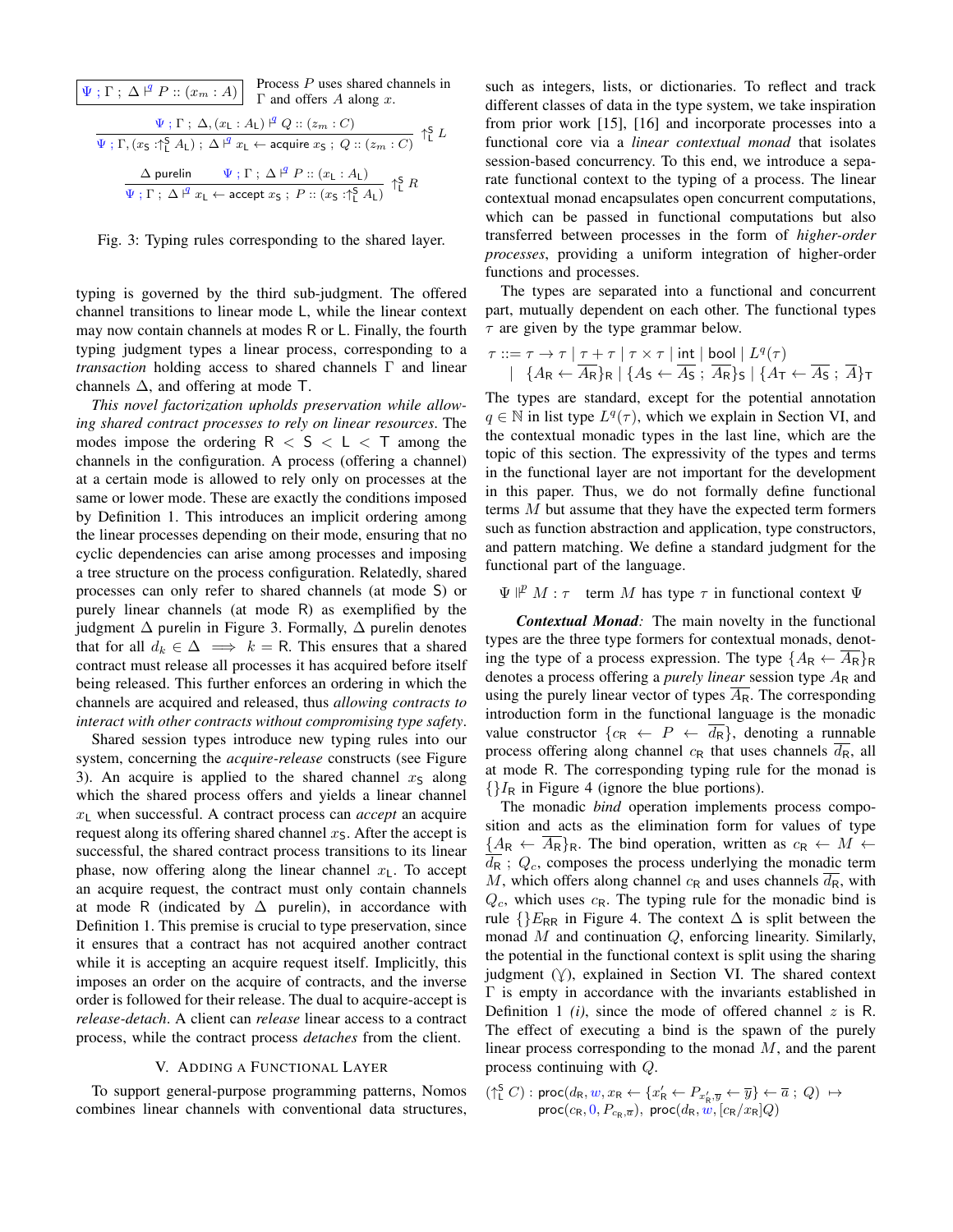$$
\boxed{\Psi \; ; \; \Gamma \; ; \; \Delta \; |^{\mathcal{G}} \; P :: (x_m : A)] \quad \text{Process } P \text{ uses shared channels in } \Gamma \text{ and offers } A \text{ along } x. \quad \qquad \boxed{\Psi \; ; \; \Gamma \; ; \; \Delta, (x_L : A_L) \; |^{\mathcal{G}} \; Q :: (z_m : C)} \quad \qquad \boxed{\Psi \; ; \; \Gamma, (x_S : \uparrow_L^S \; A_L) \; ; \; \Delta \; |^{\mathcal{G}} \; x_L \leftarrow \text{acquire } x_S \; ; \; Q :: (z_m : C)} \quad \uparrow_L^S \; L \quad \qquad \qquad \Delta \text{ purelin} \qquad \qquad \boxed{\Psi \; ; \; \Gamma \; ; \; \Delta \; |^{\mathcal{G}} \; x_L \leftarrow \text{accept } x_S \; ; \; P :: (x_L : A_L) \quad \qquad \uparrow_L^S \; R \quad \qquad \qquad \qquad \qquad \frac{\Delta}{\Psi \; ; \; \Gamma \; ; \; \Delta \; |^{\mathcal{G}} \; x_L \leftarrow \text{accept } x_S \; ; \; P :: (x_S : \uparrow_L^S \; A_L) \quad \qquad \uparrow_L^S \; R \quad \qquad \qquad \frac{\Delta}{\Psi \; ; \; \Gamma \; ; \; \Delta \; |^{\mathcal{G}} \; x_L \leftarrow \text{accept } x_S \; ; \; P :: (x_S : \uparrow_L^S \; A_L) \quad \qquad \uparrow \frac{\Delta}{\Box} \; R \quad \qquad \qquad \frac{\Delta}{\Box} \; \text{output } \; \text{output } \; x_L \leftarrow \text{accept } x_S \; \text{input } x_L \leftarrow \text{accept } x_S \; \text{input } x_L \leftarrow \text{accept } x_S \; \text{input } x_L \leftarrow \text{input } x_L \leftarrow \text{input } x_L \leftarrow \text{input } x_L \leftarrow \text{input } x_L \leftarrow \text{input } x_L \leftarrow \text{input } x_L \leftarrow \text{input } x_L \leftarrow \text{input } x_L \leftarrow \text{input } x_L \leftarrow \text{input } x_L \leftarrow \text{input } x_L \leftarrow \text{input } x_L \leftarrow \text{input } x_L \leftarrow \text{input } x_L \leftarrow \text{input } x_L \leftarrow \text{input } x_L \leftarrow \text{input } x_L \leftarrow \text{input } x
$$

Fig. 3: Typing rules corresponding to the shared layer.

typing is governed by the third sub-judgment. The offered channel transitions to linear mode L, while the linear context may now contain channels at modes R or L. Finally, the fourth typing judgment types a linear process, corresponding to a *transaction* holding access to shared channels Γ and linear channels  $\Delta$ , and offering at mode T.

*This novel factorization upholds preservation while allowing shared contract processes to rely on linear resources*. The modes impose the ordering  $R < S < L < T$  among the channels in the configuration. A process (offering a channel) at a certain mode is allowed to rely only on processes at the same or lower mode. These are exactly the conditions imposed by Definition 1. This introduces an implicit ordering among the linear processes depending on their mode, ensuring that no cyclic dependencies can arise among processes and imposing a tree structure on the process configuration. Relatedly, shared processes can only refer to shared channels (at mode S) or purely linear channels (at mode R) as exemplified by the judgment  $\Delta$  purelin in Figure 3. Formally,  $\Delta$  purelin denotes that for all  $d_k \in \Delta \implies k = \mathsf{R}$ . This ensures that a shared contract must release all processes it has acquired before itself being released. This further enforces an ordering in which the channels are acquired and released, thus *allowing contracts to interact with other contracts without compromising type safety*.

Shared session types introduce new typing rules into our system, concerning the *acquire-release* constructs (see Figure 3). An acquire is applied to the shared channel  $x<sub>S</sub>$  along which the shared process offers and yields a linear channel  $x_L$  when successful. A contract process can *accept* an acquire request along its offering shared channel  $x<sub>S</sub>$ . After the accept is successful, the shared contract process transitions to its linear phase, now offering along the linear channel  $x<sub>L</sub>$ . To accept an acquire request, the contract must only contain channels at mode R (indicated by  $\Delta$  purelin), in accordance with Definition 1. This premise is crucial to type preservation, since it ensures that a contract has not acquired another contract while it is accepting an acquire request itself. Implicitly, this imposes an order on the acquire of contracts, and the inverse order is followed for their release. The dual to acquire-accept is *release-detach*. A client can *release* linear access to a contract process, while the contract process *detaches* from the client.

# V. ADDING A FUNCTIONAL LAYER

To support general-purpose programming patterns, Nomos combines linear channels with conventional data structures,

such as integers, lists, or dictionaries. To reflect and track different classes of data in the type system, we take inspiration from prior work [15], [16] and incorporate processes into a functional core via a *linear contextual monad* that isolates session-based concurrency. To this end, we introduce a separate functional context to the typing of a process. The linear contextual monad encapsulates open concurrent computations, which can be passed in functional computations but also transferred between processes in the form of *higher-order processes*, providing a uniform integration of higher-order functions and processes.

The types are separated into a functional and concurrent part, mutually dependent on each other. The functional types  $\tau$  are given by the type grammar below.

$$
\tau ::= \tau \to \tau \mid \tau + \tau \mid \tau \times \tau \mid \text{int} \mid \text{bool} \mid L^{q}(\tau)
$$
  
 
$$
\mid \{A_{R} \leftarrow \overline{A_{R}}\}_{R} \mid \{A_{S} \leftarrow \overline{A_{S}} \; ; \; \overline{A_{R}}\}_{S} \mid \{A_{T} \leftarrow \overline{A_{S}} \; ; \; \overline{A}\}_{T}
$$

The types are standard, except for the potential annotation  $q \in \mathbb{N}$  in list type  $L^q(\tau)$ , which we explain in Section VI, and the contextual monadic types in the last line, which are the topic of this section. The expressivity of the types and terms in the functional layer are not important for the development in this paper. Thus, we do not formally define functional terms M but assume that they have the expected term formers such as function abstraction and application, type constructors, and pattern matching. We define a standard judgment for the functional part of the language.

# $\Psi \nightharpoonup^p M$ :  $\tau$  term M has type  $\tau$  in functional context  $\Psi$

*Contextual Monad:* The main novelty in the functional types are the three type formers for contextual monads, denoting the type of a process expression. The type  $\{A_{\rm R} \leftarrow \overline{A_{\rm R}}\}_R$ denotes a process offering a *purely linear* session type  $A_R$  and using the purely linear vector of types  $\overline{A_{\rm R}}$ . The corresponding introduction form in the functional language is the monadic value constructor  $\{c_R \leftarrow P \leftarrow \overline{d_R}\}\$ , denoting a runnable process offering along channel  $c_R$  that uses channels  $\overline{d_R}$ , all at mode R. The corresponding typing rule for the monad is  ${I_R}$  in Figure 4 (ignore the blue portions).

The monadic *bind* operation implements process composition and acts as the elimination form for values of type  ${A_R \leftarrow A_R}_R$ . The bind operation, written as  $c_R \leftarrow M$  $\overline{d_{\mathsf{R}}}$ ;  $Q_c$ , composes the process underlying the monadic term M, which offers along channel  $c_R$  and uses channels  $d_R$ , with  $Q_c$ , which uses  $c_R$ . The typing rule for the monadic bind is rule  $\{E_{RR}$  in Figure 4. The context  $\Delta$  is split between the monad  $M$  and continuation  $Q$ , enforcing linearity. Similarly, the potential in the functional context is split using the sharing judgment  $(y)$ , explained in Section VI. The shared context Γ is empty in accordance with the invariants established in Definition 1  $(i)$ , since the mode of offered channel z is R. The effect of executing a bind is the spawn of the purely linear process corresponding to the monad M, and the parent process continuing with Q.

 $(\uparrow^S_L C) : \mathsf{proc}(d_R, w, x_R \leftarrow \{x'_R \leftarrow P_{x'_R, \overline{y}} \leftarrow \overline{y}\} \leftarrow \overline{a} ; Q) \mapsto$  $\mathsf{proc}(c_\mathsf{R}, 0, P_{c_\mathsf{R},\overline{a}}),~ \mathsf{proc}(d_\mathsf{R}, w, [c_\mathsf{R}/x_\mathsf{R}]Q)$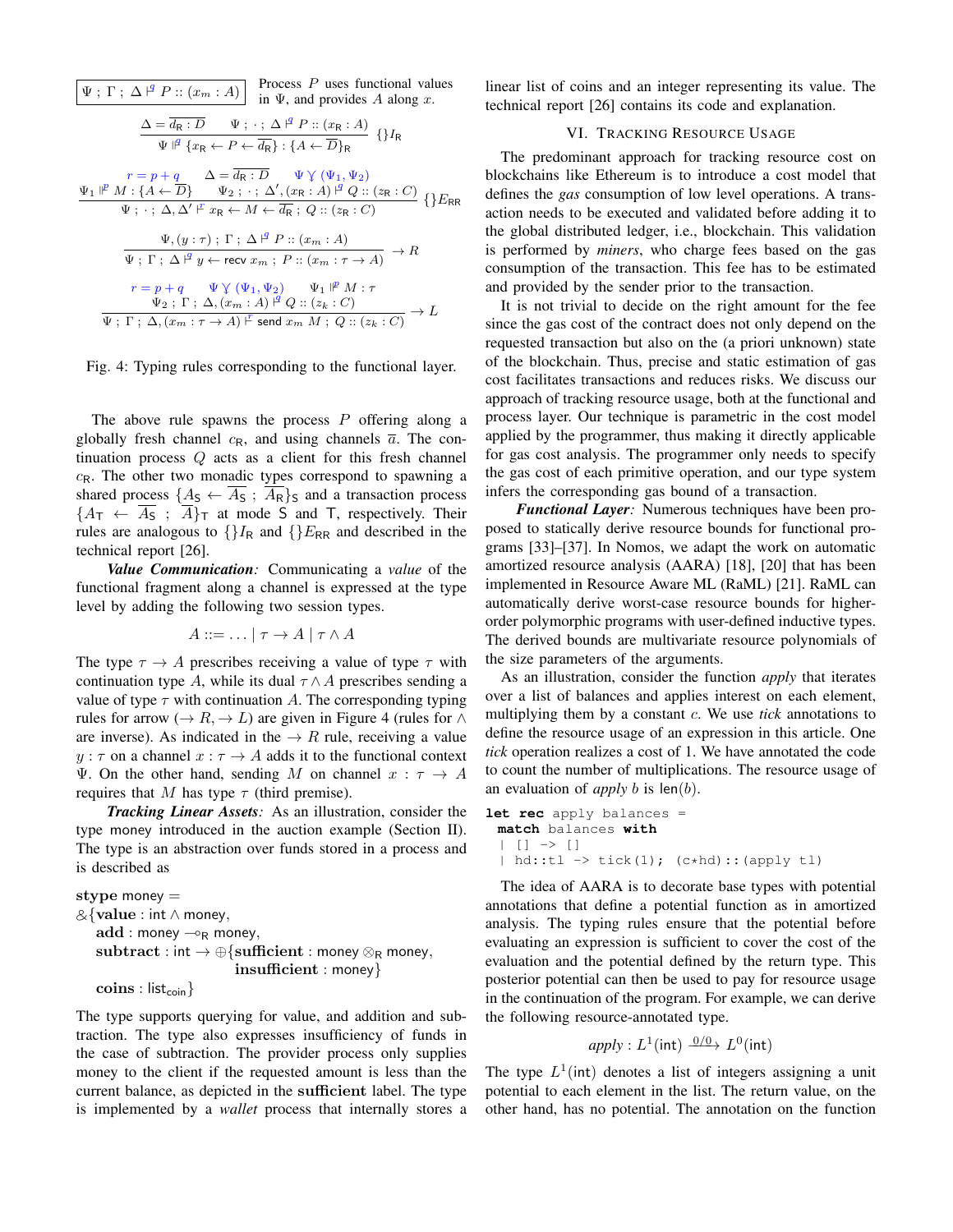Ψ ; Γ ; ∆ ` q P :: (x<sup>m</sup> : A) Process P uses functional values in Ψ, and provides A along x. ∆ = d<sup>R</sup> : D Ψ ; · ; ∆ ` q P :: (x<sup>R</sup> : A) Ψ q {x<sup>R</sup> ← P ← dR} : {A ← D}<sup>R</sup> {}I<sup>R</sup> <sup>r</sup> <sup>=</sup> <sup>p</sup> <sup>+</sup> <sup>q</sup> ∆ = <sup>d</sup><sup>R</sup> : <sup>D</sup> <sup>Ψ</sup> . (Ψ1, <sup>Ψ</sup>2) Ψ<sup>1</sup> <sup>p</sup> M : {A ← D} Ψ<sup>2</sup> ; · ; ∆<sup>0</sup> , (x<sup>R</sup> : A) ` <sup>q</sup> <sup>Q</sup> :: (z<sup>R</sup> : <sup>C</sup>) Ψ ; · ; ∆, ∆<sup>0</sup> ` r x<sup>R</sup> ← M ← d<sup>R</sup> ; Q :: (z<sup>R</sup> : C) {}ERR Ψ, (y : τ) ; Γ ; ∆ ` q P :: (xm : A) Ψ ; Γ ; ∆ ` q y ← recv x<sup>m</sup> ; P :: (x<sup>m</sup> : τ → A) → R <sup>r</sup> <sup>=</sup> <sup>p</sup> <sup>+</sup> <sup>q</sup> <sup>Ψ</sup> . (Ψ1, <sup>Ψ</sup>2) <sup>Ψ</sup><sup>1</sup> <sup>p</sup> M : τ Ψ<sup>2</sup> ; Γ ; ∆, (x<sup>m</sup> : A) ` <sup>q</sup> <sup>Q</sup> :: (z<sup>k</sup> : <sup>C</sup>) Ψ ; Γ ; ∆, (x<sup>m</sup> : τ → A) ` r send x<sup>m</sup> M ; Q :: (z<sup>k</sup> : C) → L

Fig. 4: Typing rules corresponding to the functional layer.

The above rule spawns the process  $P$  offering along a globally fresh channel  $c_R$ , and using channels  $\overline{a}$ . The continuation process  $Q$  acts as a client for this fresh channel  $c_{\rm R}$ . The other two monadic types correspond to spawning a shared process  $\{A_{\mathsf{S}} \leftarrow \overline{A_{\mathsf{S}}}\; ; \; \overline{A_{\mathsf{R}}}\}$ s and a transaction process  ${A_{\mathsf{T}} \leftarrow \overline{A}_{\mathsf{S}}$ ;  $\overline{A}_{\mathsf{T}}$  at mode S and T, respectively. Their rules are analogous to  $\{H_R \text{ and } \{E_{RR} \text{ and described in the}\}$ technical report [26].

*Value Communication:* Communicating a *value* of the functional fragment along a channel is expressed at the type level by adding the following two session types.

$$
A ::= \dots | \tau \to A | \tau \wedge A
$$

The type  $\tau \to A$  prescribes receiving a value of type  $\tau$  with continuation type A, while its dual  $\tau \wedge A$  prescribes sending a value of type  $\tau$  with continuation A. The corresponding typing rules for arrow ( $\rightarrow$  R,  $\rightarrow$  L) are given in Figure 4 (rules for  $\land$ are inverse). As indicated in the  $\rightarrow R$  rule, receiving a value  $y : \tau$  on a channel  $x : \tau \to A$  adds it to the functional context Ψ. On the other hand, sending M on channel  $x : \tau \to A$ requires that M has type  $\tau$  (third premise).

*Tracking Linear Assets:* As an illustration, consider the type money introduced in the auction example (Section II). The type is an abstraction over funds stored in a process and is described as

```
stype money =
&{value : int ∧ money,
   add: money \multimap_R money,
   subtract : int \rightarrow \bigoplus \{sufficient : money \otimes_R money,insufficient : money}
   \text{coins}: list<sub>coin</sub>\}
```
The type supports querying for value, and addition and subtraction. The type also expresses insufficiency of funds in the case of subtraction. The provider process only supplies money to the client if the requested amount is less than the current balance, as depicted in the sufficient label. The type is implemented by a *wallet* process that internally stores a linear list of coins and an integer representing its value. The technical report [26] contains its code and explanation.

### VI. TRACKING RESOURCE USAGE

The predominant approach for tracking resource cost on blockchains like Ethereum is to introduce a cost model that defines the *gas* consumption of low level operations. A transaction needs to be executed and validated before adding it to the global distributed ledger, i.e., blockchain. This validation is performed by *miners*, who charge fees based on the gas consumption of the transaction. This fee has to be estimated and provided by the sender prior to the transaction.

It is not trivial to decide on the right amount for the fee since the gas cost of the contract does not only depend on the requested transaction but also on the (a priori unknown) state of the blockchain. Thus, precise and static estimation of gas cost facilitates transactions and reduces risks. We discuss our approach of tracking resource usage, both at the functional and process layer. Our technique is parametric in the cost model applied by the programmer, thus making it directly applicable for gas cost analysis. The programmer only needs to specify the gas cost of each primitive operation, and our type system infers the corresponding gas bound of a transaction.

*Functional Layer:* Numerous techniques have been proposed to statically derive resource bounds for functional programs [33]–[37]. In Nomos, we adapt the work on automatic amortized resource analysis (AARA) [18], [20] that has been implemented in Resource Aware ML (RaML) [21]. RaML can automatically derive worst-case resource bounds for higherorder polymorphic programs with user-defined inductive types. The derived bounds are multivariate resource polynomials of the size parameters of the arguments.

As an illustration, consider the function *apply* that iterates over a list of balances and applies interest on each element, multiplying them by a constant c. We use *tick* annotations to define the resource usage of an expression in this article. One *tick* operation realizes a cost of 1. We have annotated the code to count the number of multiplications. The resource usage of an evaluation of *apply* b is len(b).

```
let rec apply balances =
 match balances with
    | \ ] \ \rightarrow \ [ \ ]| hd::tl \rightarrow tick(1); (c*hd)::(apply tl)
```
The idea of AARA is to decorate base types with potential annotations that define a potential function as in amortized analysis. The typing rules ensure that the potential before evaluating an expression is sufficient to cover the cost of the evaluation and the potential defined by the return type. This posterior potential can then be used to pay for resource usage in the continuation of the program. For example, we can derive the following resource-annotated type.

$$
apply: L^1(int) \xrightarrow{0/0} L^0(int)
$$

The type  $L^1$ (int) denotes a list of integers assigning a unit potential to each element in the list. The return value, on the other hand, has no potential. The annotation on the function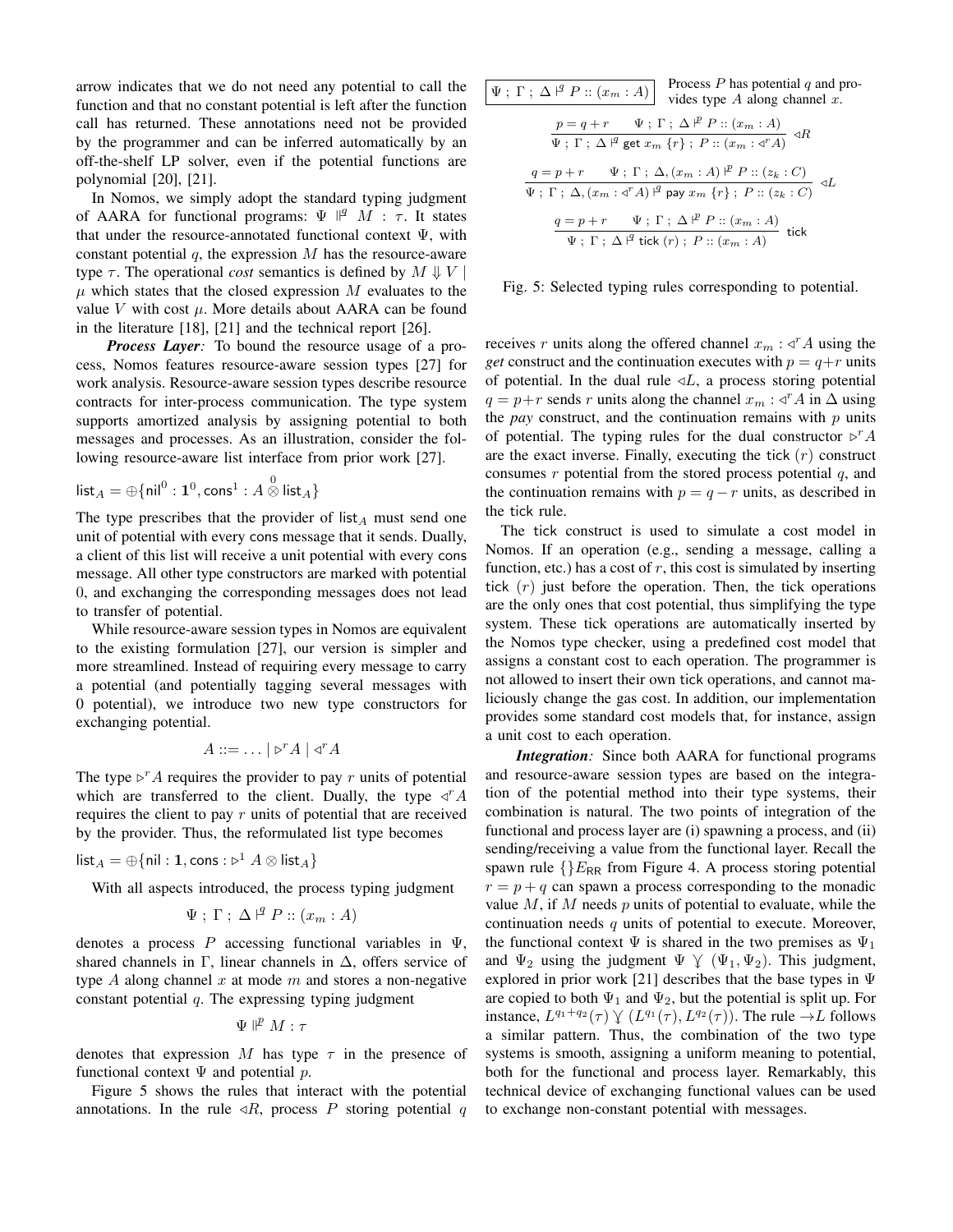arrow indicates that we do not need any potential to call the function and that no constant potential is left after the function call has returned. These annotations need not be provided by the programmer and can be inferred automatically by an off-the-shelf LP solver, even if the potential functions are polynomial [20], [21].

In Nomos, we simply adopt the standard typing judgment of AARA for functional programs:  $\Psi \parallel^q M$ : τ. It states that under the resource-annotated functional context  $\Psi$ , with constant potential  $q$ , the expression  $M$  has the resource-aware type  $\tau$ . The operational *cost* semantics is defined by  $M \Downarrow V$  $\mu$  which states that the closed expression M evaluates to the value  $V$  with cost  $\mu$ . More details about AARA can be found in the literature [18], [21] and the technical report [26].

*Process Layer:* To bound the resource usage of a process, Nomos features resource-aware session types [27] for work analysis. Resource-aware session types describe resource contracts for inter-process communication. The type system supports amortized analysis by assigning potential to both messages and processes. As an illustration, consider the following resource-aware list interface from prior work [27].

$$
\mathsf{list}_A = \oplus \{\mathsf{nil}^0 : \mathbf{1}^0, \mathsf{cons}^1 : A \overset{0}{\otimes} \mathsf{list}_A\}
$$

The type prescribes that the provider of list<sub>A</sub> must send one unit of potential with every cons message that it sends. Dually, a client of this list will receive a unit potential with every cons message. All other type constructors are marked with potential 0, and exchanging the corresponding messages does not lead to transfer of potential.

While resource-aware session types in Nomos are equivalent to the existing formulation [27], our version is simpler and more streamlined. Instead of requiring every message to carry a potential (and potentially tagging several messages with 0 potential), we introduce two new type constructors for exchanging potential.

$$
A ::= \dots | \triangleright^r A | \triangleleft^r A
$$

The type  $\triangleright^r A$  requires the provider to pay r units of potential which are transferred to the client. Dually, the type  $\triangleleft^r A$ requires the client to pay  $r$  units of potential that are received by the provider. Thus, the reformulated list type becomes

$$
\mathsf{list}_A = \oplus \{ \mathsf{nil} : \mathbf{1}, \mathsf{cons} : \triangleright^1 A \otimes \mathsf{list}_A \}
$$

With all aspects introduced, the process typing judgment

$$
\Psi ; \Gamma ; \Delta \nvdash^q P :: (x_m : A)
$$

denotes a process P accessing functional variables in  $\Psi$ , shared channels in Γ, linear channels in  $\Delta$ , offers service of type A along channel x at mode m and stores a non-negative constant potential  $q$ . The expressing typing judgment

$$
\Psi \not\parallel^p M:\tau
$$

denotes that expression M has type  $\tau$  in the presence of functional context  $\Psi$  and potential p.

Figure 5 shows the rules that interact with the potential annotations. In the rule  $\triangleleft R$ , process P storing potential q

| Process $P$ has potential $q$ and pro-<br>$\Psi$ ; $\Gamma$ ; $\Delta$ $\vert$ <sup><i>4</i></sup> P :: $(x_m : A)$<br>vides type $A$ along channel $x$ .                                                             |
|-----------------------------------------------------------------------------------------------------------------------------------------------------------------------------------------------------------------------|
| $\frac{p = q + r \quad \Psi; \Gamma; \Delta \nVdash P :: (x_m : A)}{\Psi; \Gamma; \Delta \nVdash^g \text{get } x_m \{r\}; \ P :: (x_m : \triangleleft^T A) } \neg R$                                                  |
| $\frac{q=p+r\quad \Psi \; ; \; \Gamma \; ; \; \Delta, (x_m:A) \;  ^p \; P :: (z_k:C)}{\Psi \; ; \; \Gamma \; ; \; \Delta, (x_m:A)^{\; \vert^q \vert} \; \mathsf{pay} \; x_m \; \{r\} \; ; \; P :: (z_k:C)} \; \lhd L$ |
| $\frac{q=p+r\quad \Psi \; ; \; \Gamma \; ; \; \Delta \;  ^p \; P :: (x_m:A)}{\Psi \; ; \; \Gamma \; ; \; \Delta \;  ^q \; \mathrm{tick} \; (r) \; ; \; P :: (x_m:A)} \; \mathrm{tick}$                                |

Fig. 5: Selected typing rules corresponding to potential.

receives r units along the offered channel  $x_m : \triangleleft^r A$  using the *get* construct and the continuation executes with  $p = q+r$  units of potential. In the dual rule  $\n *L*$ , a process storing potential  $q = p+r$  sends r units along the channel  $x_m : \triangleleft^r A$  in  $\triangle$  using the *pay* construct, and the continuation remains with  $p$  units of potential. The typing rules for the dual constructor  $\triangleright^{r} A$ are the exact inverse. Finally, executing the tick  $(r)$  construct consumes  $r$  potential from the stored process potential  $q$ , and the continuation remains with  $p = q - r$  units, as described in the tick rule.

The tick construct is used to simulate a cost model in Nomos. If an operation (e.g., sending a message, calling a function, etc.) has a cost of  $r$ , this cost is simulated by inserting tick  $(r)$  just before the operation. Then, the tick operations are the only ones that cost potential, thus simplifying the type system. These tick operations are automatically inserted by the Nomos type checker, using a predefined cost model that assigns a constant cost to each operation. The programmer is not allowed to insert their own tick operations, and cannot maliciously change the gas cost. In addition, our implementation provides some standard cost models that, for instance, assign a unit cost to each operation.

*Integration:* Since both AARA for functional programs and resource-aware session types are based on the integration of the potential method into their type systems, their combination is natural. The two points of integration of the functional and process layer are (i) spawning a process, and (ii) sending/receiving a value from the functional layer. Recall the spawn rule  $\{E_{RR}$  from Figure 4. A process storing potential  $r = p + q$  can spawn a process corresponding to the monadic value  $M$ , if  $M$  needs  $p$  units of potential to evaluate, while the continuation needs  $q$  units of potential to execute. Moreover, the functional context  $\Psi$  is shared in the two premises as  $\Psi_1$ and  $\Psi_2$  using the judgment  $\Psi \n\vee (\Psi_1, \Psi_2)$ . This judgment, explored in prior work [21] describes that the base types in  $\Psi$ are copied to both  $\Psi_1$  and  $\Psi_2$ , but the potential is split up. For instance,  $L^{q_1+q_2}(\tau) \vee (L^{q_1}(\tau), L^{q_2}(\tau))$ . The rule  $\rightarrow L$  follows a similar pattern. Thus, the combination of the two type systems is smooth, assigning a uniform meaning to potential, both for the functional and process layer. Remarkably, this technical device of exchanging functional values can be used to exchange non-constant potential with messages.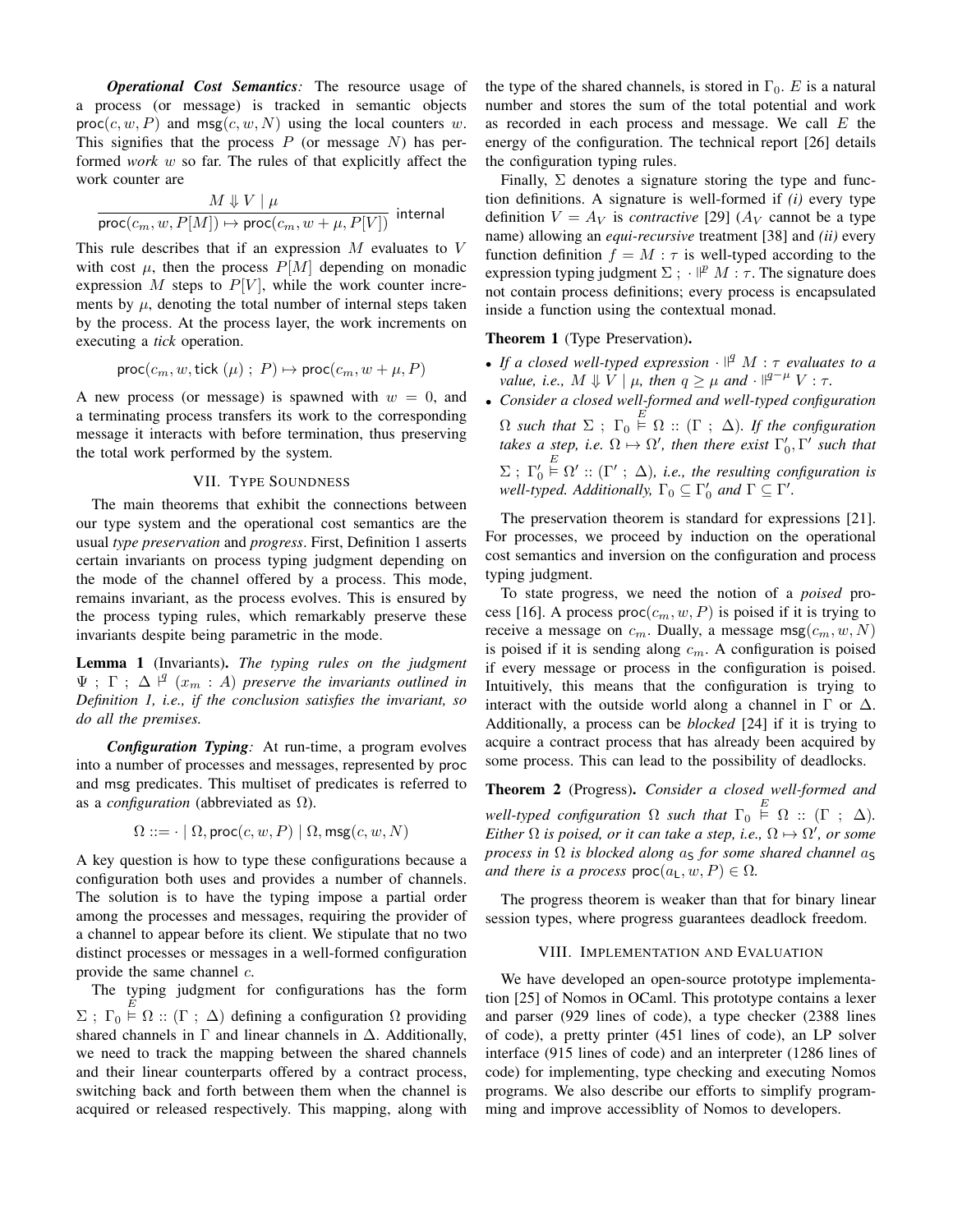*Operational Cost Semantics:* The resource usage of a process (or message) is tracked in semantic objects  $proc(c, w, P)$  and  $msg(c, w, N)$  using the local counters w. This signifies that the process  $P$  (or message  $N$ ) has performed *work* w so far. The rules of that explicitly affect the work counter are

$$
\frac{M\Downarrow V\mid \mu}{\textsf{proc}(c_m, w, P[M]) \mapsto \textsf{proc}(c_m, w + \mu, P[V])} \text{ internal}
$$

This rule describes that if an expression  $M$  evaluates to  $V$ with cost  $\mu$ , then the process  $P[M]$  depending on monadic expression M steps to  $P[V]$ , while the work counter increments by  $\mu$ , denoting the total number of internal steps taken by the process. At the process layer, the work increments on executing a *tick* operation.

$$
\mathsf{proc}(c_m, w, \mathsf{tick}(\mu) ; P) \mapsto \mathsf{proc}(c_m, w + \mu, P)
$$

A new process (or message) is spawned with  $w = 0$ , and a terminating process transfers its work to the corresponding message it interacts with before termination, thus preserving the total work performed by the system.

#### VII. TYPE SOUNDNESS

The main theorems that exhibit the connections between our type system and the operational cost semantics are the usual *type preservation* and *progress*. First, Definition 1 asserts certain invariants on process typing judgment depending on the mode of the channel offered by a process. This mode, remains invariant, as the process evolves. This is ensured by the process typing rules, which remarkably preserve these invariants despite being parametric in the mode.

Lemma 1 (Invariants). *The typing rules on the judgment*  $\Psi$ ;  $\Gamma$ ;  $\Delta$   $\vert \mathcal{I} \vert$   $(x_m : A)$  *preserve the invariants outlined in Definition 1, i.e., if the conclusion satisfies the invariant, so do all the premises.*

*Configuration Typing:* At run-time, a program evolves into a number of processes and messages, represented by proc and msg predicates. This multiset of predicates is referred to as a *configuration* (abbreviated as Ω).

$$
\Omega ::= \cdot \mid \Omega, \mathsf{proc}(c, w, P) \mid \Omega, \mathsf{msg}(c, w, N)
$$

A key question is how to type these configurations because a configuration both uses and provides a number of channels. The solution is to have the typing impose a partial order among the processes and messages, requiring the provider of a channel to appear before its client. We stipulate that no two distinct processes or messages in a well-formed configuration provide the same channel c.

The typing judgment for configurations has the form  $\Sigma$ ;  $\Gamma_0 \stackrel{E}{\models} \Omega$  ::  $(\Gamma; \Delta)$  defining a configuration  $\Omega$  providing shared channels in  $\Gamma$  and linear channels in  $\Delta$ . Additionally, we need to track the mapping between the shared channels and their linear counterparts offered by a contract process, switching back and forth between them when the channel is acquired or released respectively. This mapping, along with the type of the shared channels, is stored in  $\Gamma_0$ . E is a natural number and stores the sum of the total potential and work as recorded in each process and message. We call E the energy of the configuration. The technical report [26] details the configuration typing rules.

Finally,  $\Sigma$  denotes a signature storing the type and function definitions. A signature is well-formed if *(i)* every type definition  $V = A_V$  is *contractive* [29] ( $A_V$  cannot be a type name) allowing an *equi-recursive* treatment [38] and *(ii)* every function definition  $f = M : \tau$  is well-typed according to the expression typing judgment  $\Sigma$ ;  $\mathbb{P}^p M : \tau$ . The signature does not contain process definitions; every process is encapsulated inside a function using the contextual monad.

#### Theorem 1 (Type Preservation).

- If a closed well-typed expression  $\cdot$   $\mathbb{I}^q$  M :  $\tau$  evaluates to a *value, i.e.,*  $M \Downarrow V \mid \mu$ , then  $q \geq \mu$  and  $\cdot \parallel^{q-\mu} V : \tau$ .
- *Consider a closed well-formed and well-typed configuration*  $\Omega$  such that  $\Sigma$ ;  $\Gamma_0 \stackrel{E}{\models} \Omega$  :: ( $\Gamma$ ;  $\Delta$ )*. If the configuration takes a step, i.e.*  $\Omega \mapsto \Omega'$ *, then there exist*  $\Gamma'_0, \Gamma'$  *such that*  $\Sigma$ ; Γ'<sub>0</sub>  $E \nightharpoonup \Omega' :: (\Gamma' ; \Delta)$ , *i.e.*, the resulting configuration is *well-typed. Additionally,*  $\Gamma_0 \subseteq \Gamma'_0$  *and*  $\Gamma \subseteq \Gamma'$ *.*

The preservation theorem is standard for expressions [21]. For processes, we proceed by induction on the operational cost semantics and inversion on the configuration and process typing judgment.

To state progress, we need the notion of a *poised* process [16]. A process  $proc(c_m, w, P)$  is poised if it is trying to receive a message on  $c_m$ . Dually, a message msg $(c_m, w, N)$ is poised if it is sending along  $c_m$ . A configuration is poised if every message or process in the configuration is poised. Intuitively, this means that the configuration is trying to interact with the outside world along a channel in  $\Gamma$  or  $\Delta$ . Additionally, a process can be *blocked* [24] if it is trying to acquire a contract process that has already been acquired by some process. This can lead to the possibility of deadlocks.

Theorem 2 (Progress). *Consider a closed well-formed and well-typed configuration*  $\Omega$  *such that*  $\Gamma_0 \stackrel{E}{\models} \Omega$  :: ( $\Gamma$  ;  $\Delta$ ). *Either*  $\Omega$  *is poised, or it can take a step, i.e.,*  $\Omega \mapsto \Omega'$ *, or some process in*  $\Omega$  *is blocked along*  $a<sub>S</sub>$  *for some shared channel*  $a<sub>S</sub>$ *and there is a process*  $proc(a_L, w, P) \in \Omega$ .

The progress theorem is weaker than that for binary linear session types, where progress guarantees deadlock freedom.

#### VIII. IMPLEMENTATION AND EVALUATION

We have developed an open-source prototype implementation [25] of Nomos in OCaml. This prototype contains a lexer and parser (929 lines of code), a type checker (2388 lines of code), a pretty printer (451 lines of code), an LP solver interface (915 lines of code) and an interpreter (1286 lines of code) for implementing, type checking and executing Nomos programs. We also describe our efforts to simplify programming and improve accessiblity of Nomos to developers.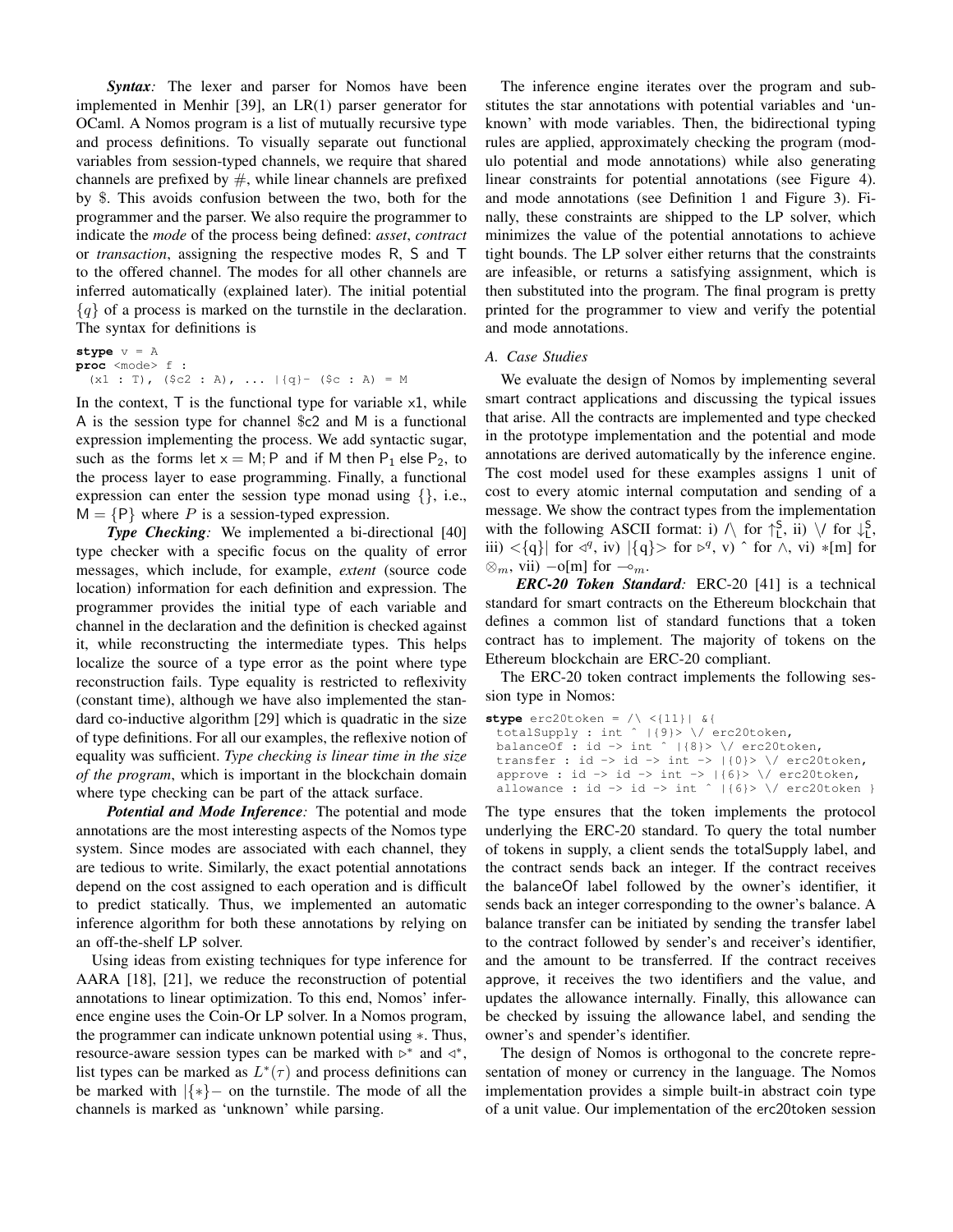*Syntax:* The lexer and parser for Nomos have been implemented in Menhir [39], an LR(1) parser generator for OCaml. A Nomos program is a list of mutually recursive type and process definitions. To visually separate out functional variables from session-typed channels, we require that shared channels are prefixed by  $#$ , while linear channels are prefixed by \$. This avoids confusion between the two, both for the programmer and the parser. We also require the programmer to indicate the *mode* of the process being defined: *asset*, *contract* or *transaction*, assigning the respective modes R, S and T to the offered channel. The modes for all other channels are inferred automatically (explained later). The initial potential  ${q}$  of a process is marked on the turnstile in the declaration. The syntax for definitions is

**stype** v = A **proc** <mode> f :  $(x1 : T)$ ,  $(\frac{5}{2} : A)$ , ...  $|\{q\} - (\frac{5}{2} : A) = M$ 

In the context,  $T$  is the functional type for variable  $x1$ , while A is the session type for channel \$c2 and M is a functional expression implementing the process. We add syntactic sugar, such as the forms let  $x = M$ ; P and if M then  $P_1$  else  $P_2$ , to the process layer to ease programming. Finally, a functional expression can enter the session type monad using {}, i.e.,  $M = {P}$  where P is a session-typed expression.

*Type Checking:* We implemented a bi-directional [40] type checker with a specific focus on the quality of error messages, which include, for example, *extent* (source code location) information for each definition and expression. The programmer provides the initial type of each variable and channel in the declaration and the definition is checked against it, while reconstructing the intermediate types. This helps localize the source of a type error as the point where type reconstruction fails. Type equality is restricted to reflexivity (constant time), although we have also implemented the standard co-inductive algorithm [29] which is quadratic in the size of type definitions. For all our examples, the reflexive notion of equality was sufficient. *Type checking is linear time in the size of the program*, which is important in the blockchain domain where type checking can be part of the attack surface.

*Potential and Mode Inference:* The potential and mode annotations are the most interesting aspects of the Nomos type system. Since modes are associated with each channel, they are tedious to write. Similarly, the exact potential annotations depend on the cost assigned to each operation and is difficult to predict statically. Thus, we implemented an automatic inference algorithm for both these annotations by relying on an off-the-shelf LP solver.

Using ideas from existing techniques for type inference for AARA [18], [21], we reduce the reconstruction of potential annotations to linear optimization. To this end, Nomos' inference engine uses the Coin-Or LP solver. In a Nomos program, the programmer can indicate unknown potential using ∗. Thus, resource-aware session types can be marked with  $\triangleright^*$  and  $\triangleleft^*$ , list types can be marked as  $L^*(\tau)$  and process definitions can be marked with |{∗}− on the turnstile. The mode of all the channels is marked as 'unknown' while parsing.

The inference engine iterates over the program and substitutes the star annotations with potential variables and 'unknown' with mode variables. Then, the bidirectional typing rules are applied, approximately checking the program (modulo potential and mode annotations) while also generating linear constraints for potential annotations (see Figure 4). and mode annotations (see Definition 1 and Figure 3). Finally, these constraints are shipped to the LP solver, which minimizes the value of the potential annotations to achieve tight bounds. The LP solver either returns that the constraints are infeasible, or returns a satisfying assignment, which is then substituted into the program. The final program is pretty printed for the programmer to view and verify the potential and mode annotations.

## *A. Case Studies*

We evaluate the design of Nomos by implementing several smart contract applications and discussing the typical issues that arise. All the contracts are implemented and type checked in the prototype implementation and the potential and mode annotations are derived automatically by the inference engine. The cost model used for these examples assigns 1 unit of cost to every atomic internal computation and sending of a message. We show the contract types from the implementation with the following ASCII format: i)  $\wedge$  for  $\uparrow_L^S$ , ii)  $\vee$  for  $\downarrow_L^S$ , iii)  $\langle q \rangle$  for  $\langle q, i\nu \rangle$   $|\{q\}\rangle$  for  $\rho q$ ,  $\nu$ )  $\hat{ }$  for  $\hat{\wedge}$ ,  $\nu i$ )  $\hat{*}$ [m] for ⊗<sub>m</sub>, vii) –o[m] for  $\multimap_m$ .

*ERC-20 Token Standard:* ERC-20 [41] is a technical standard for smart contracts on the Ethereum blockchain that defines a common list of standard functions that a token contract has to implement. The majority of tokens on the Ethereum blockchain are ERC-20 compliant.

The ERC-20 token contract implements the following session type in Nomos:

```
stype erc20token = /\sqrt{11} | &{
 totalSupply : int \hat{ } |{9}> \/ erc20token,
 balanceOf : id \rightarrow int \hat{ } |{8}> \/ erc20token,
 transfer : id -> id -> int -> |(0)> \/ erc20token,
 approve : id -> id -> int -> |\{6\}> \/ erc20token,
 allowance : id -> id -> int ^ |{6} \/ erc20token }
```
The type ensures that the token implements the protocol underlying the ERC-20 standard. To query the total number of tokens in supply, a client sends the totalSupply label, and the contract sends back an integer. If the contract receives the balanceOf label followed by the owner's identifier, it sends back an integer corresponding to the owner's balance. A balance transfer can be initiated by sending the transfer label to the contract followed by sender's and receiver's identifier, and the amount to be transferred. If the contract receives approve, it receives the two identifiers and the value, and updates the allowance internally. Finally, this allowance can be checked by issuing the allowance label, and sending the owner's and spender's identifier.

The design of Nomos is orthogonal to the concrete representation of money or currency in the language. The Nomos implementation provides a simple built-in abstract coin type of a unit value. Our implementation of the erc20token session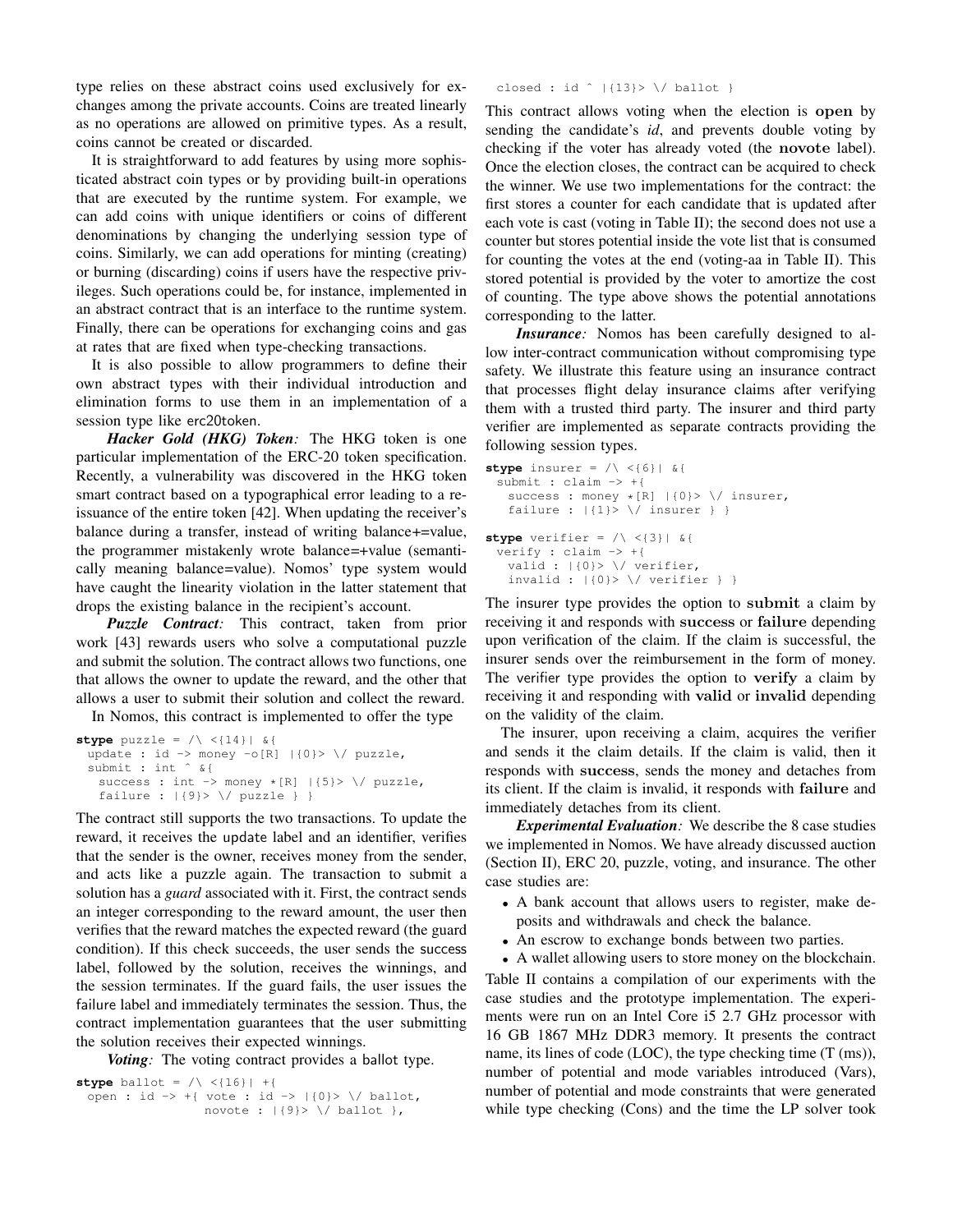type relies on these abstract coins used exclusively for exchanges among the private accounts. Coins are treated linearly as no operations are allowed on primitive types. As a result, coins cannot be created or discarded.

It is straightforward to add features by using more sophisticated abstract coin types or by providing built-in operations that are executed by the runtime system. For example, we can add coins with unique identifiers or coins of different denominations by changing the underlying session type of coins. Similarly, we can add operations for minting (creating) or burning (discarding) coins if users have the respective privileges. Such operations could be, for instance, implemented in an abstract contract that is an interface to the runtime system. Finally, there can be operations for exchanging coins and gas at rates that are fixed when type-checking transactions.

It is also possible to allow programmers to define their own abstract types with their individual introduction and elimination forms to use them in an implementation of a session type like erc20token.

*Hacker Gold (HKG) Token:* The HKG token is one particular implementation of the ERC-20 token specification. Recently, a vulnerability was discovered in the HKG token smart contract based on a typographical error leading to a reissuance of the entire token [42]. When updating the receiver's balance during a transfer, instead of writing balance+=value, the programmer mistakenly wrote balance=+value (semantically meaning balance=value). Nomos' type system would have caught the linearity violation in the latter statement that drops the existing balance in the recipient's account.

*Puzzle Contract:* This contract, taken from prior work [43] rewards users who solve a computational puzzle and submit the solution. The contract allows two functions, one that allows the owner to update the reward, and the other that allows a user to submit their solution and collect the reward.

In Nomos, this contract is implemented to offer the type

```
stype puzzle = /\sqrt{14} \sqrt{414}update : id -> money -o[R] |{0}> \/ puzzle,
 submit : int ^ &{
   success : int \rightarrow money \star[R] |\{5}> \/ puzzle,
   failure : |\{9\} \/ puzzle } }
```
The contract still supports the two transactions. To update the reward, it receives the update label and an identifier, verifies that the sender is the owner, receives money from the sender, and acts like a puzzle again. The transaction to submit a solution has a *guard* associated with it. First, the contract sends an integer corresponding to the reward amount, the user then verifies that the reward matches the expected reward (the guard condition). If this check succeeds, the user sends the success label, followed by the solution, receives the winnings, and the session terminates. If the guard fails, the user issues the failure label and immediately terminates the session. Thus, the contract implementation guarantees that the user submitting the solution receives their expected winnings.

*Voting:* The voting contract provides a ballot type.

```
stype ballot = /\sqrt{16} +{
 open : id -> +{ vote : id -> |\{0\}>\ \setminus\ /\ ballot,
                    novote : |\{9\} \/ ballot },
```
closed : id  $\hat{ }$  |{13}> \/ ballot }

This contract allows voting when the election is open by sending the candidate's *id*, and prevents double voting by checking if the voter has already voted (the novote label). Once the election closes, the contract can be acquired to check the winner. We use two implementations for the contract: the first stores a counter for each candidate that is updated after each vote is cast (voting in Table II); the second does not use a counter but stores potential inside the vote list that is consumed for counting the votes at the end (voting-aa in Table II). This stored potential is provided by the voter to amortize the cost of counting. The type above shows the potential annotations corresponding to the latter.

*Insurance:* Nomos has been carefully designed to allow inter-contract communication without compromising type safety. We illustrate this feature using an insurance contract that processes flight delay insurance claims after verifying them with a trusted third party. The insurer and third party verifier are implemented as separate contracts providing the following session types.

```
stype insurer = /\sqrt{6} | &{
 submit : claim -> +{
   success : money \star[R] |\{0\}>\ \backslash/ insurer,
   failure : |\{1\}> \/ insurer } }
stype verifier = /\sqrt{3} | &{
 verify : claim -> +{
   valid : |\{0\} \/ verifier,
   invalid : |\{0\} \rangle \/ verifier } }
```
The insurer type provides the option to submit a claim by receiving it and responds with success or failure depending upon verification of the claim. If the claim is successful, the insurer sends over the reimbursement in the form of money. The verifier type provides the option to verify a claim by receiving it and responding with valid or invalid depending on the validity of the claim.

The insurer, upon receiving a claim, acquires the verifier and sends it the claim details. If the claim is valid, then it responds with success, sends the money and detaches from its client. If the claim is invalid, it responds with failure and immediately detaches from its client.

*Experimental Evaluation:* We describe the 8 case studies we implemented in Nomos. We have already discussed auction (Section II), ERC 20, puzzle, voting, and insurance. The other case studies are:

- A bank account that allows users to register, make deposits and withdrawals and check the balance.
- An escrow to exchange bonds between two parties.
- A wallet allowing users to store money on the blockchain.

Table II contains a compilation of our experiments with the case studies and the prototype implementation. The experiments were run on an Intel Core i5 2.7 GHz processor with 16 GB 1867 MHz DDR3 memory. It presents the contract name, its lines of code (LOC), the type checking time (T (ms)), number of potential and mode variables introduced (Vars), number of potential and mode constraints that were generated while type checking (Cons) and the time the LP solver took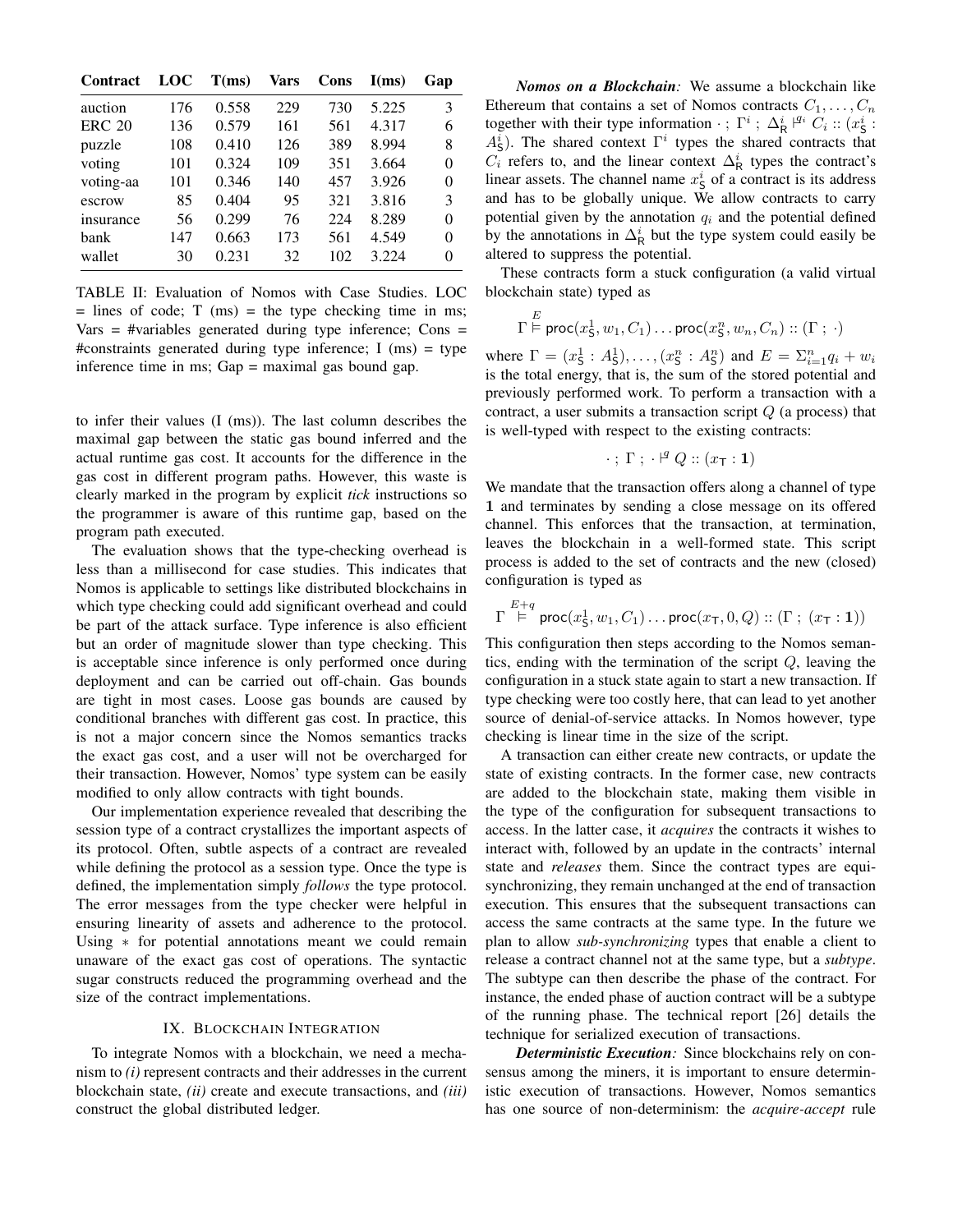| <b>Contract</b> | <b>LOC</b> | T(ms) | Vars | Cons | I(ms) | Gap      |
|-----------------|------------|-------|------|------|-------|----------|
| auction         | 176        | 0.558 | 229  | 730  | 5.225 | 3        |
| <b>ERC 20</b>   | 136        | 0.579 | 161  | 561  | 4.317 | 6        |
| puzzle          | 108        | 0.410 | 126  | 389  | 8.994 | 8        |
| voting          | 101        | 0.324 | 109  | 351  | 3.664 | $\theta$ |
| voting-aa       | 101        | 0.346 | 140  | 457  | 3.926 | $\theta$ |
| escrow          | 85         | 0.404 | 95   | 321  | 3.816 | 3        |
| insurance       | 56         | 0.299 | 76   | 224  | 8.289 | $\theta$ |
| bank            | 147        | 0.663 | 173  | 561  | 4.549 | $\theta$ |
| wallet          | 30         | 0.231 | 32   | 102  | 3.224 | 0        |

TABLE II: Evaluation of Nomos with Case Studies. LOC  $=$  lines of code; T (ms)  $=$  the type checking time in ms;  $Vars = #\vartheta$  generated during type inference; Cons = #constraints generated during type inference; I (ms) = type inference time in ms; Gap = maximal gas bound gap.

to infer their values (I (ms)). The last column describes the maximal gap between the static gas bound inferred and the actual runtime gas cost. It accounts for the difference in the gas cost in different program paths. However, this waste is clearly marked in the program by explicit *tick* instructions so the programmer is aware of this runtime gap, based on the program path executed.

The evaluation shows that the type-checking overhead is less than a millisecond for case studies. This indicates that Nomos is applicable to settings like distributed blockchains in which type checking could add significant overhead and could be part of the attack surface. Type inference is also efficient but an order of magnitude slower than type checking. This is acceptable since inference is only performed once during deployment and can be carried out off-chain. Gas bounds are tight in most cases. Loose gas bounds are caused by conditional branches with different gas cost. In practice, this is not a major concern since the Nomos semantics tracks the exact gas cost, and a user will not be overcharged for their transaction. However, Nomos' type system can be easily modified to only allow contracts with tight bounds.

Our implementation experience revealed that describing the session type of a contract crystallizes the important aspects of its protocol. Often, subtle aspects of a contract are revealed while defining the protocol as a session type. Once the type is defined, the implementation simply *follows* the type protocol. The error messages from the type checker were helpful in ensuring linearity of assets and adherence to the protocol. Using ∗ for potential annotations meant we could remain unaware of the exact gas cost of operations. The syntactic sugar constructs reduced the programming overhead and the size of the contract implementations.

## IX. BLOCKCHAIN INTEGRATION

To integrate Nomos with a blockchain, we need a mechanism to *(i)* represent contracts and their addresses in the current blockchain state, *(ii)* create and execute transactions, and *(iii)* construct the global distributed ledger.

*Nomos on a Blockchain:* We assume a blockchain like Ethereum that contains a set of Nomos contracts  $C_1, \ldots, C_n$ together with their type information  $\cdot$ ;  $\Gamma^i$ ;  $\Delta^i_R$   $\stackrel{q_i}{\sim}$   $C_i$  ::  $(x^i_S$ :  $A_{\mathsf{S}}^{i}$ ). The shared context  $\Gamma^{i}$  types the shared contracts that  $C_i$  refers to, and the linear context  $\Delta_R^i$  types the contract's linear assets. The channel name  $x_{\mathsf{S}}^i$  of a contract is its address and has to be globally unique. We allow contracts to carry potential given by the annotation  $q_i$  and the potential defined by the annotations in  $\Delta_R^i$  but the type system could easily be altered to suppress the potential.

These contracts form a stuck configuration (a valid virtual blockchain state) typed as

$$
\Gamma \stackrel{E}{\models} \mathsf{proc}(x_5^1, w_1, C_1) \dots \mathsf{proc}(x_5^n, w_n, C_n) :: (\Gamma ; \cdot)
$$

where  $\Gamma = (x_5^1 : A_5^1), \dots, (x_5^n : A_5^n)$  and  $E = \sum_{i=1}^n q_i + w_i$ is the total energy, that is, the sum of the stored potential and previously performed work. To perform a transaction with a contract, a user submits a transaction script  $Q$  (a process) that is well-typed with respect to the existing contracts:

$$
\cdot \; ; \; \Gamma \; ; \; \cdot \n \stackrel{\mathsf{q}}{=} Q :: (x_\mathsf{T} : \mathbf{1})
$$

We mandate that the transaction offers along a channel of type 1 and terminates by sending a close message on its offered channel. This enforces that the transaction, at termination, leaves the blockchain in a well-formed state. This script process is added to the set of contracts and the new (closed) configuration is typed as

$$
\Gamma \stackrel{E+q}{\models} \mathsf{proc}(x_5^1, w_1, C_1) \dots \mathsf{proc}(x_{\mathsf{T}}, 0, Q) :: (\Gamma \; ; \; (x_{\mathsf{T}} : \mathbf{1}))
$$

This configuration then steps according to the Nomos semantics, ending with the termination of the script  $Q$ , leaving the configuration in a stuck state again to start a new transaction. If type checking were too costly here, that can lead to yet another source of denial-of-service attacks. In Nomos however, type checking is linear time in the size of the script.

A transaction can either create new contracts, or update the state of existing contracts. In the former case, new contracts are added to the blockchain state, making them visible in the type of the configuration for subsequent transactions to access. In the latter case, it *acquires* the contracts it wishes to interact with, followed by an update in the contracts' internal state and *releases* them. Since the contract types are equisynchronizing, they remain unchanged at the end of transaction execution. This ensures that the subsequent transactions can access the same contracts at the same type. In the future we plan to allow *sub-synchronizing* types that enable a client to release a contract channel not at the same type, but a *subtype*. The subtype can then describe the phase of the contract. For instance, the ended phase of auction contract will be a subtype of the running phase. The technical report [26] details the technique for serialized execution of transactions.

*Deterministic Execution:* Since blockchains rely on consensus among the miners, it is important to ensure deterministic execution of transactions. However, Nomos semantics has one source of non-determinism: the *acquire-accept* rule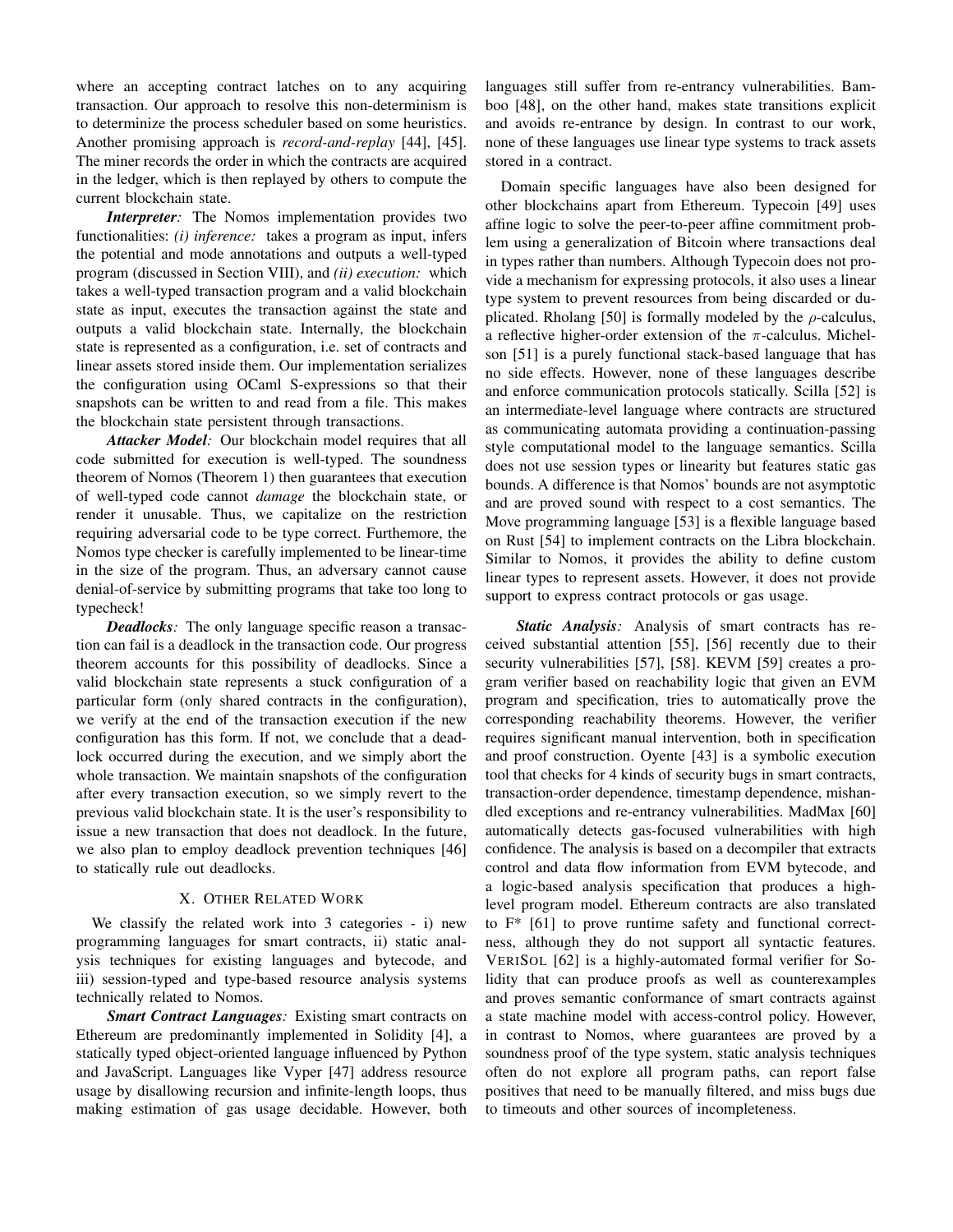where an accepting contract latches on to any acquiring transaction. Our approach to resolve this non-determinism is to determinize the process scheduler based on some heuristics. Another promising approach is *record-and-replay* [44], [45]. The miner records the order in which the contracts are acquired in the ledger, which is then replayed by others to compute the current blockchain state.

*Interpreter*: The Nomos implementation provides two functionalities: *(i) inference:* takes a program as input, infers the potential and mode annotations and outputs a well-typed program (discussed in Section VIII), and *(ii) execution:* which takes a well-typed transaction program and a valid blockchain state as input, executes the transaction against the state and outputs a valid blockchain state. Internally, the blockchain state is represented as a configuration, i.e. set of contracts and linear assets stored inside them. Our implementation serializes the configuration using OCaml S-expressions so that their snapshots can be written to and read from a file. This makes the blockchain state persistent through transactions.

*Attacker Model:* Our blockchain model requires that all code submitted for execution is well-typed. The soundness theorem of Nomos (Theorem 1) then guarantees that execution of well-typed code cannot *damage* the blockchain state, or render it unusable. Thus, we capitalize on the restriction requiring adversarial code to be type correct. Furthemore, the Nomos type checker is carefully implemented to be linear-time in the size of the program. Thus, an adversary cannot cause denial-of-service by submitting programs that take too long to typecheck!

*Deadlocks:* The only language specific reason a transaction can fail is a deadlock in the transaction code. Our progress theorem accounts for this possibility of deadlocks. Since a valid blockchain state represents a stuck configuration of a particular form (only shared contracts in the configuration), we verify at the end of the transaction execution if the new configuration has this form. If not, we conclude that a deadlock occurred during the execution, and we simply abort the whole transaction. We maintain snapshots of the configuration after every transaction execution, so we simply revert to the previous valid blockchain state. It is the user's responsibility to issue a new transaction that does not deadlock. In the future, we also plan to employ deadlock prevention techniques [46] to statically rule out deadlocks.

## X. OTHER RELATED WORK

We classify the related work into 3 categories - i) new programming languages for smart contracts, ii) static analysis techniques for existing languages and bytecode, and iii) session-typed and type-based resource analysis systems technically related to Nomos.

*Smart Contract Languages:* Existing smart contracts on Ethereum are predominantly implemented in Solidity [4], a statically typed object-oriented language influenced by Python and JavaScript. Languages like Vyper [47] address resource usage by disallowing recursion and infinite-length loops, thus making estimation of gas usage decidable. However, both languages still suffer from re-entrancy vulnerabilities. Bamboo [48], on the other hand, makes state transitions explicit and avoids re-entrance by design. In contrast to our work, none of these languages use linear type systems to track assets stored in a contract.

Domain specific languages have also been designed for other blockchains apart from Ethereum. Typecoin [49] uses affine logic to solve the peer-to-peer affine commitment problem using a generalization of Bitcoin where transactions deal in types rather than numbers. Although Typecoin does not provide a mechanism for expressing protocols, it also uses a linear type system to prevent resources from being discarded or duplicated. Rholang [50] is formally modeled by the  $\rho$ -calculus, a reflective higher-order extension of the  $\pi$ -calculus. Michelson [51] is a purely functional stack-based language that has no side effects. However, none of these languages describe and enforce communication protocols statically. Scilla [52] is an intermediate-level language where contracts are structured as communicating automata providing a continuation-passing style computational model to the language semantics. Scilla does not use session types or linearity but features static gas bounds. A difference is that Nomos' bounds are not asymptotic and are proved sound with respect to a cost semantics. The Move programming language [53] is a flexible language based on Rust [54] to implement contracts on the Libra blockchain. Similar to Nomos, it provides the ability to define custom linear types to represent assets. However, it does not provide support to express contract protocols or gas usage.

*Static Analysis:* Analysis of smart contracts has received substantial attention [55], [56] recently due to their security vulnerabilities [57], [58]. KEVM [59] creates a program verifier based on reachability logic that given an EVM program and specification, tries to automatically prove the corresponding reachability theorems. However, the verifier requires significant manual intervention, both in specification and proof construction. Oyente [43] is a symbolic execution tool that checks for 4 kinds of security bugs in smart contracts, transaction-order dependence, timestamp dependence, mishandled exceptions and re-entrancy vulnerabilities. MadMax [60] automatically detects gas-focused vulnerabilities with high confidence. The analysis is based on a decompiler that extracts control and data flow information from EVM bytecode, and a logic-based analysis specification that produces a highlevel program model. Ethereum contracts are also translated to F\* [61] to prove runtime safety and functional correctness, although they do not support all syntactic features. VERISOL [62] is a highly-automated formal verifier for Solidity that can produce proofs as well as counterexamples and proves semantic conformance of smart contracts against a state machine model with access-control policy. However, in contrast to Nomos, where guarantees are proved by a soundness proof of the type system, static analysis techniques often do not explore all program paths, can report false positives that need to be manually filtered, and miss bugs due to timeouts and other sources of incompleteness.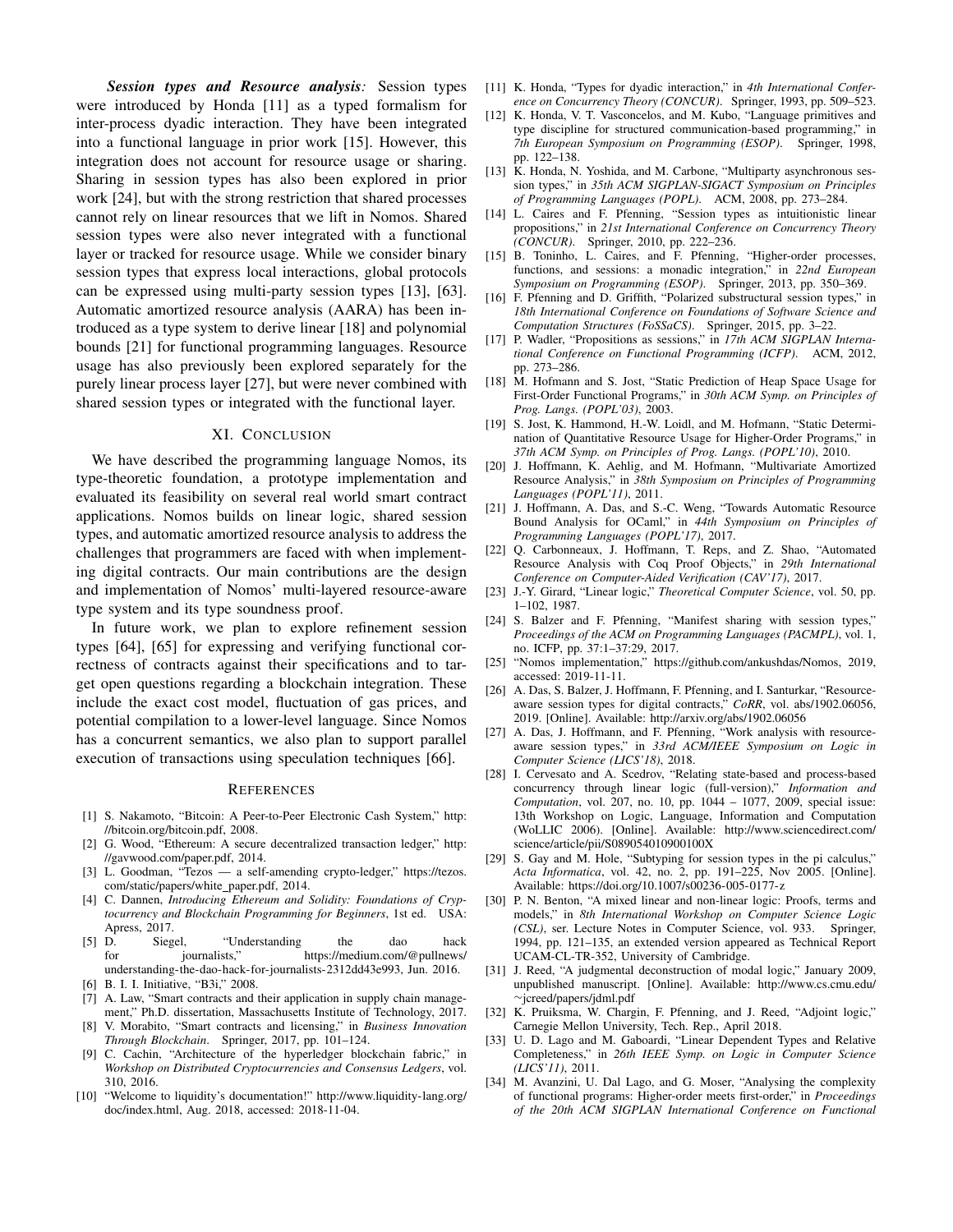*Session types and Resource analysis:* Session types were introduced by Honda [11] as a typed formalism for inter-process dyadic interaction. They have been integrated into a functional language in prior work [15]. However, this integration does not account for resource usage or sharing. Sharing in session types has also been explored in prior work [24], but with the strong restriction that shared processes cannot rely on linear resources that we lift in Nomos. Shared session types were also never integrated with a functional layer or tracked for resource usage. While we consider binary session types that express local interactions, global protocols can be expressed using multi-party session types [13], [63]. Automatic amortized resource analysis (AARA) has been introduced as a type system to derive linear [18] and polynomial bounds [21] for functional programming languages. Resource usage has also previously been explored separately for the purely linear process layer [27], but were never combined with shared session types or integrated with the functional layer.

#### XI. CONCLUSION

We have described the programming language Nomos, its type-theoretic foundation, a prototype implementation and evaluated its feasibility on several real world smart contract applications. Nomos builds on linear logic, shared session types, and automatic amortized resource analysis to address the challenges that programmers are faced with when implementing digital contracts. Our main contributions are the design and implementation of Nomos' multi-layered resource-aware type system and its type soundness proof.

In future work, we plan to explore refinement session types [64], [65] for expressing and verifying functional correctness of contracts against their specifications and to target open questions regarding a blockchain integration. These include the exact cost model, fluctuation of gas prices, and potential compilation to a lower-level language. Since Nomos has a concurrent semantics, we also plan to support parallel execution of transactions using speculation techniques [66].

#### **REFERENCES**

- [1] S. Nakamoto, "Bitcoin: A Peer-to-Peer Electronic Cash System," http: //bitcoin.org/bitcoin.pdf, 2008.
- [2] G. Wood, "Ethereum: A secure decentralized transaction ledger," http: //gavwood.com/paper.pdf, 2014.
- [3] L. Goodman, "Tezos a self-amending crypto-ledger," https://tezos. com/static/papers/white\_paper.pdf, 2014.
- [4] C. Dannen, *Introducing Ethereum and Solidity: Foundations of Cryptocurrency and Blockchain Programming for Beginners*, 1st ed. USA: Apress, 2017.
- [5] D. Siegel, "Understanding the dao hack<br>for journalists," https://medium.com/@pullnews/ for journalists," https://medium.com/@pullnews/ understanding-the-dao-hack-for-journalists-2312dd43e993, Jun. 2016.
- [6] B. I. I. Initiative, "B3i," 2008.
- [7] A. Law, "Smart contracts and their application in supply chain management," Ph.D. dissertation, Massachusetts Institute of Technology, 2017.
- [8] V. Morabito, "Smart contracts and licensing," in *Business Innovation Through Blockchain*. Springer, 2017, pp. 101–124.
- [9] C. Cachin, "Architecture of the hyperledger blockchain fabric," in *Workshop on Distributed Cryptocurrencies and Consensus Ledgers*, vol. 310, 2016.
- [10] "Welcome to liquidity's documentation!" http://www.liquidity-lang.org/ doc/index.html, Aug. 2018, accessed: 2018-11-04.
- [11] K. Honda, "Types for dyadic interaction," in *4th International Conference on Concurrency Theory (CONCUR)*. Springer, 1993, pp. 509–523.
- [12] K. Honda, V. T. Vasconcelos, and M. Kubo, "Language primitives and type discipline for structured communication-based programming," in *7th European Symposium on Programming (ESOP)*. Springer, 1998, pp. 122–138.
- [13] K. Honda, N. Yoshida, and M. Carbone, "Multiparty asynchronous session types," in *35th ACM SIGPLAN-SIGACT Symposium on Principles of Programming Languages (POPL)*. ACM, 2008, pp. 273–284.
- [14] L. Caires and F. Pfenning, "Session types as intuitionistic linear propositions," in *21st International Conference on Concurrency Theory (CONCUR)*. Springer, 2010, pp. 222–236.
- [15] B. Toninho, L. Caires, and F. Pfenning, "Higher-order processes, functions, and sessions: a monadic integration," in *22nd European Symposium on Programming (ESOP)*. Springer, 2013, pp. 350–369.
- [16] F. Pfenning and D. Griffith, "Polarized substructural session types," in *18th International Conference on Foundations of Software Science and Computation Structures (FoSSaCS)*. Springer, 2015, pp. 3–22.
- [17] P. Wadler, "Propositions as sessions," in *17th ACM SIGPLAN International Conference on Functional Programming (ICFP)*. ACM, 2012, pp. 273–286.
- [18] M. Hofmann and S. Jost, "Static Prediction of Heap Space Usage for First-Order Functional Programs," in *30th ACM Symp. on Principles of Prog. Langs. (POPL'03)*, 2003.
- [19] S. Jost, K. Hammond, H.-W. Loidl, and M. Hofmann, "Static Determination of Quantitative Resource Usage for Higher-Order Programs," in *37th ACM Symp. on Principles of Prog. Langs. (POPL'10)*, 2010.
- [20] J. Hoffmann, K. Aehlig, and M. Hofmann, "Multivariate Amortized Resource Analysis," in *38th Symposium on Principles of Programming Languages (POPL'11)*, 2011.
- [21] J. Hoffmann, A. Das, and S.-C. Weng, "Towards Automatic Resource Bound Analysis for OCaml," in *44th Symposium on Principles of Programming Languages (POPL'17)*, 2017.
- [22] Q. Carbonneaux, J. Hoffmann, T. Reps, and Z. Shao, "Automated Resource Analysis with Coq Proof Objects," in *29th International Conference on Computer-Aided Verification (CAV'17)*, 2017.
- [23] J.-Y. Girard, "Linear logic," *Theoretical Computer Science*, vol. 50, pp. 1–102, 1987.
- [24] S. Balzer and F. Pfenning, "Manifest sharing with session types," *Proceedings of the ACM on Programming Languages (PACMPL)*, vol. 1, no. ICFP, pp. 37:1–37:29, 2017.
- [25] "Nomos implementation," https://github.com/ankushdas/Nomos, 2019, accessed: 2019-11-11.
- [26] A. Das, S. Balzer, J. Hoffmann, F. Pfenning, and I. Santurkar, "Resourceaware session types for digital contracts," *CoRR*, vol. abs/1902.06056, 2019. [Online]. Available: http://arxiv.org/abs/1902.06056
- [27] A. Das, J. Hoffmann, and F. Pfenning, "Work analysis with resourceaware session types," in *33rd ACM/IEEE Symposium on Logic in Computer Science (LICS'18)*, 2018.
- [28] I. Cervesato and A. Scedrov, "Relating state-based and process-based concurrency through linear logic (full-version)," *Information and Computation*, vol. 207, no. 10, pp. 1044 – 1077, 2009, special issue: 13th Workshop on Logic, Language, Information and Computation (WoLLIC 2006). [Online]. Available: http://www.sciencedirect.com/ science/article/pii/S089054010900100X
- [29] S. Gay and M. Hole, "Subtyping for session types in the pi calculus," *Acta Informatica*, vol. 42, no. 2, pp. 191–225, Nov 2005. [Online]. Available: https://doi.org/10.1007/s00236-005-0177-z
- [30] P. N. Benton, "A mixed linear and non-linear logic: Proofs, terms and models," in *8th International Workshop on Computer Science Logic (CSL)*, ser. Lecture Notes in Computer Science, vol. 933. Springer, 1994, pp. 121–135, an extended version appeared as Technical Report UCAM-CL-TR-352, University of Cambridge.
- [31] J. Reed, "A judgmental deconstruction of modal logic," January 2009, unpublished manuscript. [Online]. Available: http://www.cs.cmu.edu/ ∼jcreed/papers/jdml.pdf
- [32] K. Pruiksma, W. Chargin, F. Pfenning, and J. Reed, "Adjoint logic," Carnegie Mellon University, Tech. Rep., April 2018.
- [33] U. D. Lago and M. Gaboardi, "Linear Dependent Types and Relative Completeness," in *26th IEEE Symp. on Logic in Computer Science (LICS'11)*, 2011.
- [34] M. Avanzini, U. Dal Lago, and G. Moser, "Analysing the complexity of functional programs: Higher-order meets first-order," in *Proceedings of the 20th ACM SIGPLAN International Conference on Functional*